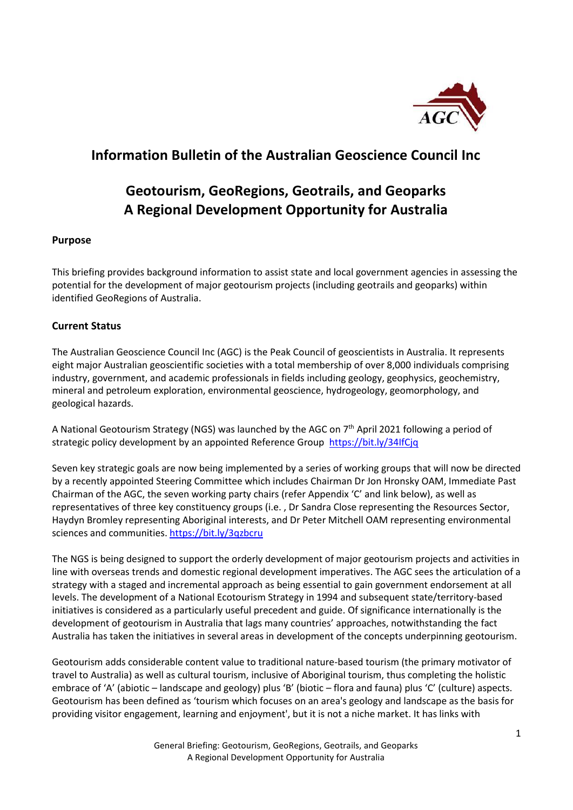

# **Information Bulletin of the Australian Geoscience Council Inc**

# **Geotourism, GeoRegions, Geotrails, and Geoparks A Regional Development Opportunity for Australia**

### **Purpose**

This briefing provides background information to assist state and local government agencies in assessing the potential for the development of major geotourism projects (including geotrails and geoparks) within identified GeoRegions of Australia.

### **Current Status**

The Australian Geoscience Council Inc (AGC) is the Peak Council of geoscientists in Australia. It represents eight major Australian geoscientific societies with a total membership of over 8,000 individuals comprising industry, government, and academic professionals in fields including geology, geophysics, geochemistry, mineral and petroleum exploration, environmental geoscience, hydrogeology, geomorphology, and geological hazards.

A National Geotourism Strategy (NGS) was launched by the AGC on  $7<sup>th</sup>$  April 2021 following a period of strategic policy development by an appointed Reference Group <https://bit.ly/34IfCjq>

Seven key strategic goals are now being implemented by a series of working groups that will now be directed by a recently appointed Steering Committee which includes Chairman Dr Jon Hronsky OAM, Immediate Past Chairman of the AGC, the seven working party chairs (refer Appendix 'C' and link below), as well as representatives of three key constituency groups (i.e. , Dr Sandra Close representing the Resources Sector, Haydyn Bromley representing Aboriginal interests, and Dr Peter Mitchell OAM representing environmental sciences and communities. <https://bit.ly/3qzbcru>

The NGS is being designed to support the orderly development of major geotourism projects and activities in line with overseas trends and domestic regional development imperatives. The AGC sees the articulation of a strategy with a staged and incremental approach as being essential to gain government endorsement at all levels. The development of a National Ecotourism Strategy in 1994 and subsequent state/territory-based initiatives is considered as a particularly useful precedent and guide. Of significance internationally is the development of geotourism in Australia that lags many countries' approaches, notwithstanding the fact Australia has taken the initiatives in several areas in development of the concepts underpinning geotourism.

Geotourism adds considerable content value to traditional nature-based tourism (the primary motivator of travel to Australia) as well as cultural tourism, inclusive of Aboriginal tourism, thus completing the holistic embrace of 'A' (abiotic – landscape and geology) plus 'B' (biotic – flora and fauna) plus 'C' (culture) aspects. Geotourism has been defined as 'tourism which focuses on an area's geology and landscape as the basis for providing visitor engagement, learning and enjoyment', but it is not a niche market. It has links with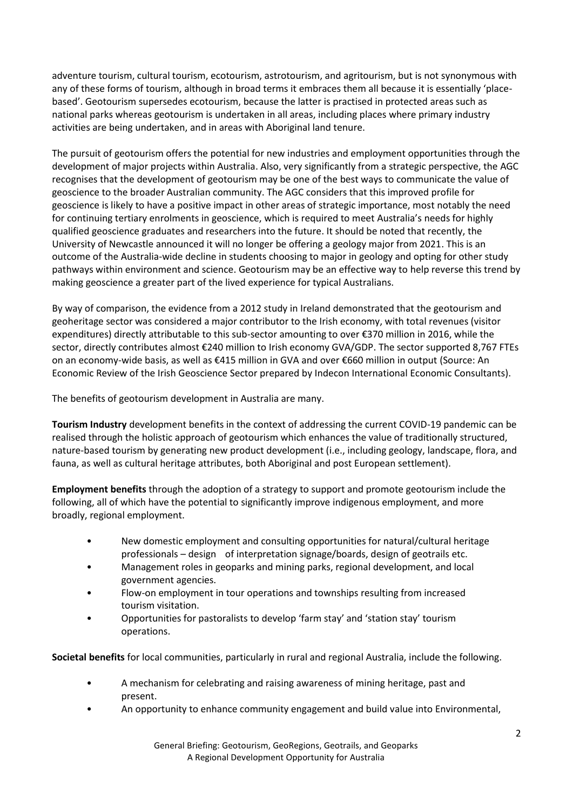adventure tourism, cultural tourism, ecotourism, astrotourism, and agritourism, but is not synonymous with any of these forms of tourism, although in broad terms it embraces them all because it is essentially 'placebased'. Geotourism supersedes ecotourism, because the latter is practised in protected areas such as national parks whereas geotourism is undertaken in all areas, including places where primary industry activities are being undertaken, and in areas with Aboriginal land tenure.

The pursuit of geotourism offers the potential for new industries and employment opportunities through the development of major projects within Australia. Also, very significantly from a strategic perspective, the AGC recognises that the development of geotourism may be one of the best ways to communicate the value of geoscience to the broader Australian community. The AGC considers that this improved profile for geoscience is likely to have a positive impact in other areas of strategic importance, most notably the need for continuing tertiary enrolments in geoscience, which is required to meet Australia's needs for highly qualified geoscience graduates and researchers into the future. It should be noted that recently, the University of Newcastle announced it will no longer be offering a geology major from 2021. This is an outcome of the Australia-wide decline in students choosing to major in geology and opting for other study pathways within environment and science. Geotourism may be an effective way to help reverse this trend by making geoscience a greater part of the lived experience for typical Australians.

By way of comparison, the evidence from a 2012 study in Ireland demonstrated that the geotourism and geoheritage sector was considered a major contributor to the Irish economy, with total revenues (visitor expenditures) directly attributable to this sub-sector amounting to over €370 million in 2016, while the sector, directly contributes almost €240 million to Irish economy GVA/GDP. The sector supported 8,767 FTEs on an economy-wide basis, as well as €415 million in GVA and over €660 million in output (Source: An Economic Review of the Irish Geoscience Sector prepared by Indecon International Economic Consultants).

The benefits of geotourism development in Australia are many.

**Tourism Industry** development benefits in the context of addressing the current COVID-19 pandemic can be realised through the holistic approach of geotourism which enhances the value of traditionally structured, nature-based tourism by generating new product development (i.e., including geology, landscape, flora, and fauna, as well as cultural heritage attributes, both Aboriginal and post European settlement).

**Employment benefits** through the adoption of a strategy to support and promote geotourism include the following, all of which have the potential to significantly improve indigenous employment, and more broadly, regional employment.

- New domestic employment and consulting opportunities for natural/cultural heritage professionals – design of interpretation signage/boards, design of geotrails etc.
- Management roles in geoparks and mining parks, regional development, and local government agencies.
- Flow-on employment in tour operations and townships resulting from increased tourism visitation.
- Opportunities for pastoralists to develop 'farm stay' and 'station stay' tourism operations.

**Societal benefits** for local communities, particularly in rural and regional Australia, include the following.

- A mechanism for celebrating and raising awareness of mining heritage, past and present.
- An opportunity to enhance community engagement and build value into Environmental,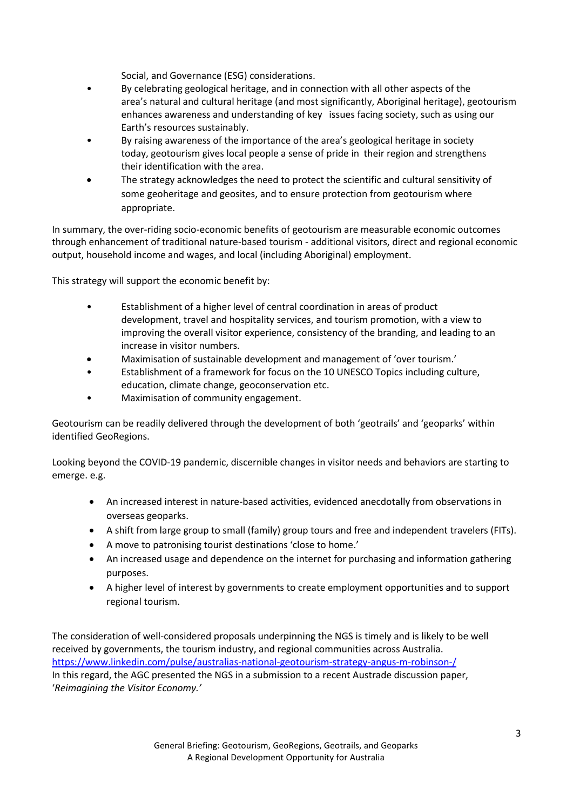Social, and Governance (ESG) considerations.

- By celebrating geological heritage, and in connection with all other aspects of the area's natural and cultural heritage (and most significantly, Aboriginal heritage), geotourism enhances awareness and understanding of key issues facing society, such as using our Earth's resources sustainably.
- By raising awareness of the importance of the area's geological heritage in society today, geotourism gives local people a sense of pride in their region and strengthens their identification with the area.
- The strategy acknowledges the need to protect the scientific and cultural sensitivity of some geoheritage and geosites, and to ensure protection from geotourism where appropriate.

In summary, the over-riding socio-economic benefits of geotourism are measurable economic outcomes through enhancement of traditional nature-based tourism - additional visitors, direct and regional economic output, household income and wages, and local (including Aboriginal) employment.

This strategy will support the economic benefit by:

- Establishment of a higher level of central coordination in areas of product development, travel and hospitality services, and tourism promotion, with a view to improving the overall visitor experience, consistency of the branding, and leading to an increase in visitor numbers.
- Maximisation of sustainable development and management of 'over tourism.'
- Establishment of a framework for focus on the 10 UNESCO Topics including culture, education, climate change, geoconservation etc.
- Maximisation of community engagement.

Geotourism can be readily delivered through the development of both 'geotrails' and 'geoparks' within identified GeoRegions.

Looking beyond the COVID-19 pandemic, discernible changes in visitor needs and behaviors are starting to emerge. e.g.

- An increased interest in nature-based activities, evidenced anecdotally from observations in overseas geoparks.
- A shift from large group to small (family) group tours and free and independent travelers (FITs).
- A move to patronising tourist destinations 'close to home.'
- An increased usage and dependence on the internet for purchasing and information gathering purposes.
- A higher level of interest by governments to create employment opportunities and to support regional tourism.

The consideration of well-considered proposals underpinning the NGS is timely and is likely to be well received by governments, the tourism industry, and regional communities across Australia. <https://www.linkedin.com/pulse/australias-national-geotourism-strategy-angus-m-robinson-/> In this regard, the AGC presented the NGS in a submission to a recent Austrade discussion paper, '*Reimagining the Visitor Economy.'*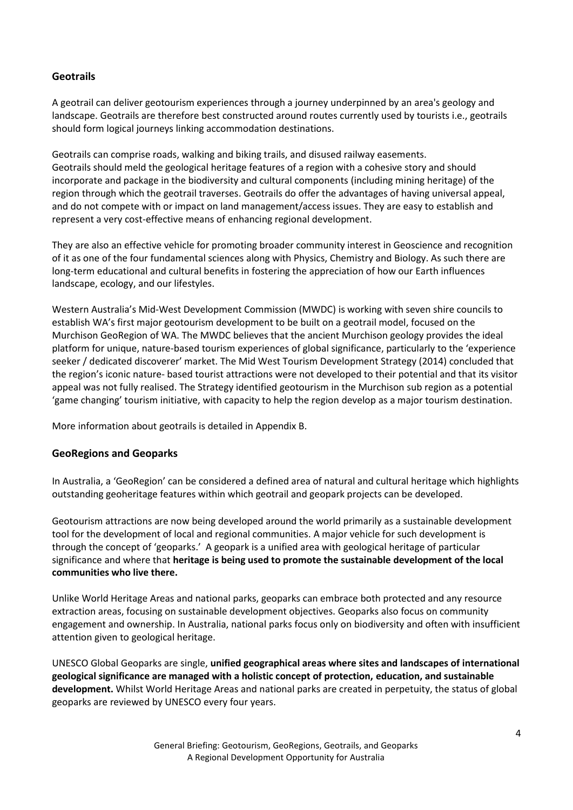## **Geotrails**

A geotrail can deliver geotourism experiences through a journey underpinned by an area's geology and landscape. Geotrails are therefore best constructed around routes currently used by tourists i.e., geotrails should form logical journeys linking accommodation destinations.

Geotrails can comprise roads, walking and biking trails, and disused railway easements. Geotrails should meld the geological heritage features of a region with a cohesive story and should incorporate and package in the biodiversity and cultural components (including mining heritage) of the region through which the geotrail traverses. Geotrails do offer the advantages of having universal appeal, and do not compete with or impact on land management/access issues. They are easy to establish and represent a very cost-effective means of enhancing regional development.

They are also an effective vehicle for promoting broader community interest in Geoscience and recognition of it as one of the four fundamental sciences along with Physics, Chemistry and Biology. As such there are long-term educational and cultural benefits in fostering the appreciation of how our Earth influences landscape, ecology, and our lifestyles.

Western Australia's Mid-West Development Commission (MWDC) is working with seven shire councils to establish WA's first major geotourism development to be built on a geotrail model, focused on the Murchison GeoRegion of WA. The MWDC believes that the ancient Murchison geology provides the ideal platform for unique, nature-based tourism experiences of global significance, particularly to the 'experience seeker / dedicated discoverer' market. The Mid West Tourism Development Strategy (2014) concluded that the region's iconic nature- based tourist attractions were not developed to their potential and that its visitor appeal was not fully realised. The Strategy identified geotourism in the Murchison sub region as a potential 'game changing' tourism initiative, with capacity to help the region develop as a major tourism destination.

More information about geotrails is detailed in Appendix B.

### **GeoRegions and Geoparks**

In Australia, a 'GeoRegion' can be considered a defined area of natural and cultural heritage which highlights outstanding geoheritage features within which geotrail and geopark projects can be developed.

Geotourism attractions are now being developed around the world primarily as a sustainable development tool for the development of local and regional communities. A major vehicle for such development is through the concept of 'geoparks.' A geopark is a unified area with geological heritage of particular significance and where that **heritage is being used to promote the sustainable development of the local communities who live there.**

Unlike World Heritage Areas and national parks, geoparks can embrace both protected and any resource extraction areas, focusing on sustainable development objectives. Geoparks also focus on community engagement and ownership. In Australia, national parks focus only on biodiversity and often with insufficient attention given to geological heritage.

UNESCO Global Geoparks are single, **unified geographical areas where sites and landscapes of international geological significance are managed with a holistic concept of protection, education, and sustainable development.** Whilst World Heritage Areas and national parks are created in perpetuity, the status of global geoparks are reviewed by UNESCO every four years.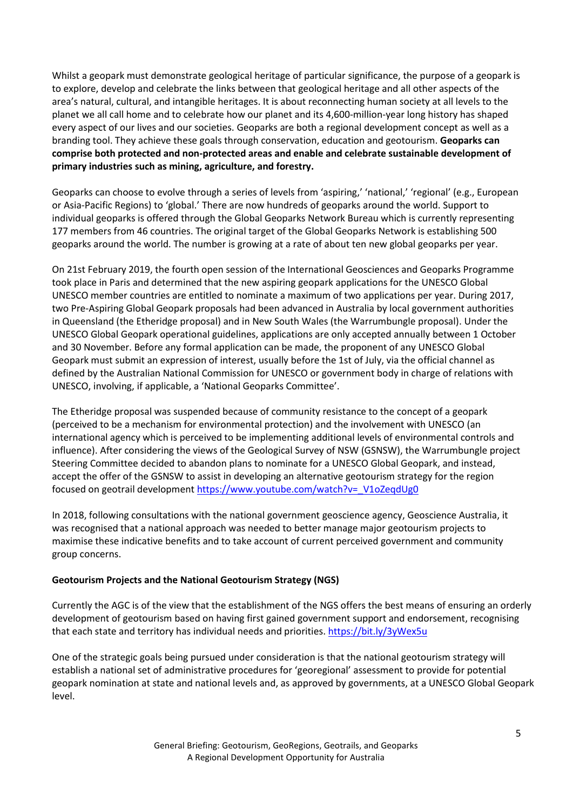Whilst a geopark must demonstrate geological heritage of particular significance, the purpose of a geopark is to explore, develop and celebrate the links between that geological heritage and all other aspects of the area's natural, cultural, and intangible heritages. It is about reconnecting human society at all levels to the planet we all call home and to celebrate how our planet and its 4,600-million-year long history has shaped every aspect of our lives and our societies. Geoparks are both a regional development concept as well as a branding tool. They achieve these goals through conservation, education and geotourism. **Geoparks can comprise both protected and non-protected areas and enable and celebrate sustainable development of primary industries such as mining, agriculture, and forestry.**

Geoparks can choose to evolve through a series of levels from 'aspiring,' 'national,' 'regional' (e.g., European or Asia-Pacific Regions) to 'global.' There are now hundreds of geoparks around the world. Support to individual geoparks is offered through the Global Geoparks Network Bureau which is currently representing 177 members from 46 countries. The original target of the Global Geoparks Network is establishing 500 geoparks around the world. The number is growing at a rate of about ten new global geoparks per year.

On 21st February 2019, the fourth open session of the International Geosciences and Geoparks Programme took place in Paris and determined that the new aspiring geopark applications for the UNESCO Global UNESCO member countries are entitled to nominate a maximum of two applications per year. During 2017, two Pre-Aspiring Global Geopark proposals had been advanced in Australia by local government authorities in Queensland (the Etheridge proposal) and in New South Wales (the Warrumbungle proposal). Under the UNESCO Global Geopark operational guidelines, applications are only accepted annually between 1 October and 30 November. Before any formal application can be made, the proponent of any UNESCO Global Geopark must submit an expression of interest, usually before the 1st of July, via the official channel as defined by the Australian National Commission for UNESCO or government body in charge of relations with UNESCO, involving, if applicable, a 'National Geoparks Committee'.

The Etheridge proposal was suspended because of community resistance to the concept of a geopark (perceived to be a mechanism for environmental protection) and the involvement with UNESCO (an international agency which is perceived to be implementing additional levels of environmental controls and influence). After considering the views of the Geological Survey of NSW (GSNSW), the Warrumbungle project Steering Committee decided to abandon plans to nominate for a UNESCO Global Geopark, and instead, accept the offer of the GSNSW to assist in developing an alternative geotourism strategy for the region focused on geotrail developmen[t https://www.youtube.com/watch?v=\\_V1oZeqdUg0](https://www.youtube.com/watch?v=_V1oZeqdUg0)

In 2018, following consultations with the national government geoscience agency, Geoscience Australia, it was recognised that a national approach was needed to better manage major geotourism projects to maximise these indicative benefits and to take account of current perceived government and community group concerns.

#### **Geotourism Projects and the National Geotourism Strategy (NGS)**

Currently the AGC is of the view that the establishment of the NGS offers the best means of ensuring an orderly development of geotourism based on having first gained government support and endorsement, recognising that each state and territory has individual needs and priorities. <https://bit.ly/3yWex5u>

One of the strategic goals being pursued under consideration is that the national geotourism strategy will establish a national set of administrative procedures for 'georegional' assessment to provide for potential geopark nomination at state and national levels and, as approved by governments, at a UNESCO Global Geopark level.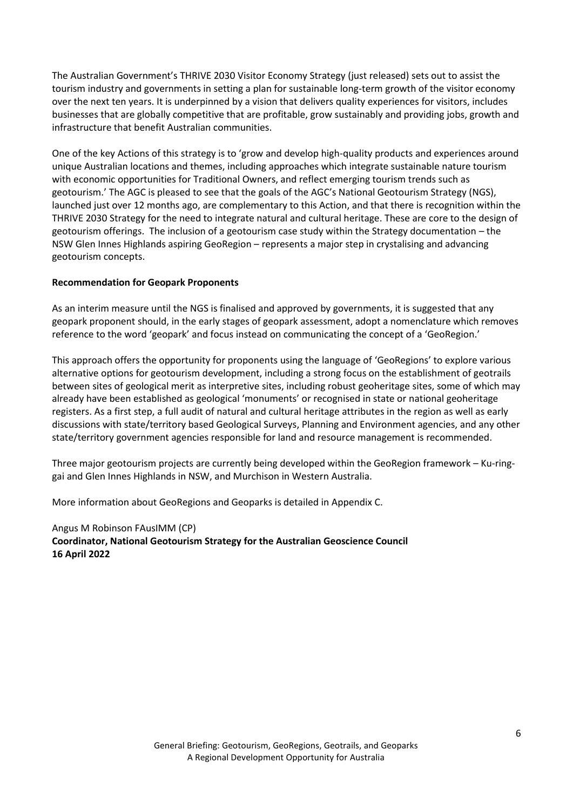The Australian Government's THRIVE 2030 Visitor Economy Strategy (just released) sets out to assist the tourism industry and governments in setting a plan for sustainable long-term growth of the visitor economy over the next ten years. It is underpinned by a vision that delivers quality experiences for visitors, includes businesses that are globally competitive that are profitable, grow sustainably and providing jobs, growth and infrastructure that benefit Australian communities.

One of the key Actions of this strategy is to 'grow and develop high-quality products and experiences around unique Australian locations and themes, including approaches which integrate sustainable nature tourism with economic opportunities for Traditional Owners, and reflect emerging tourism trends such as geotourism.' The AGC is pleased to see that the goals of the AGC's National Geotourism Strategy (NGS), launched just over 12 months ago, are complementary to this Action, and that there is recognition within the THRIVE 2030 Strategy for the need to integrate natural and cultural heritage. These are core to the design of geotourism offerings. The inclusion of a geotourism case study within the Strategy documentation – the NSW Glen Innes Highlands aspiring GeoRegion – represents a major step in crystalising and advancing geotourism concepts.

#### **Recommendation for Geopark Proponents**

As an interim measure until the NGS is finalised and approved by governments, it is suggested that any geopark proponent should, in the early stages of geopark assessment, adopt a nomenclature which removes reference to the word 'geopark' and focus instead on communicating the concept of a 'GeoRegion.'

This approach offers the opportunity for proponents using the language of 'GeoRegions' to explore various alternative options for geotourism development, including a strong focus on the establishment of geotrails between sites of geological merit as interpretive sites, including robust geoheritage sites, some of which may already have been established as geological 'monuments' or recognised in state or national geoheritage registers. As a first step, a full audit of natural and cultural heritage attributes in the region as well as early discussions with state/territory based Geological Surveys, Planning and Environment agencies, and any other state/territory government agencies responsible for land and resource management is recommended.

Three major geotourism projects are currently being developed within the GeoRegion framework – Ku-ringgai and Glen Innes Highlands in NSW, and Murchison in Western Australia.

More information about GeoRegions and Geoparks is detailed in Appendix C.

Angus M Robinson FAusIMM (CP) **Coordinator, National Geotourism Strategy for the Australian Geoscience Council 16 April 2022**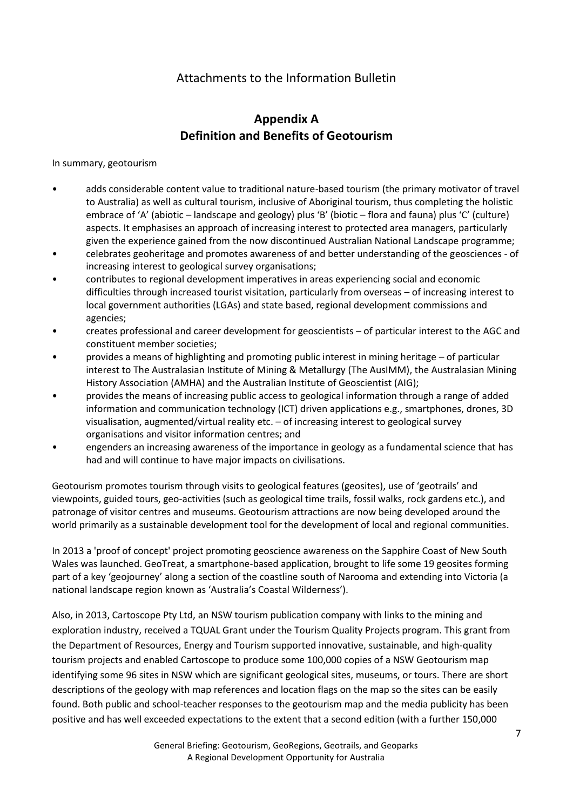## Attachments to the Information Bulletin

# **Appendix A Definition and Benefits of Geotourism**

#### In summary, geotourism

- adds considerable content value to traditional nature-based tourism (the primary motivator of travel to Australia) as well as cultural tourism, inclusive of Aboriginal tourism, thus completing the holistic embrace of 'A' (abiotic – landscape and geology) plus 'B' (biotic – flora and fauna) plus 'C' (culture) aspects. It emphasises an approach of increasing interest to protected area managers, particularly given the experience gained from the now discontinued Australian National Landscape programme;
- celebrates geoheritage and promotes awareness of and better understanding of the geosciences of increasing interest to geological survey organisations;
- contributes to regional development imperatives in areas experiencing social and economic difficulties through increased tourist visitation, particularly from overseas – of increasing interest to local government authorities (LGAs) and state based, regional development commissions and agencies;
- creates professional and career development for geoscientists of particular interest to the AGC and constituent member societies;
- provides a means of highlighting and promoting public interest in mining heritage of particular interest to The Australasian Institute of Mining & Metallurgy (The AusIMM), the Australasian Mining History Association (AMHA) and the Australian Institute of Geoscientist (AIG);
- provides the means of increasing public access to geological information through a range of added information and communication technology (ICT) driven applications e.g., smartphones, drones, 3D visualisation, augmented/virtual reality etc. – of increasing interest to geological survey organisations and visitor information centres; and
- engenders an increasing awareness of the importance in geology as a fundamental science that has had and will continue to have major impacts on civilisations.

Geotourism promotes tourism through visits to geological features (geosites), use of 'geotrails' and viewpoints, guided tours, geo-activities (such as geological time trails, fossil walks, rock gardens etc.), and patronage of visitor centres and museums. Geotourism attractions are now being developed around the world primarily as a sustainable development tool for the development of local and regional communities.

In 2013 a 'proof of concept' project promoting geoscience awareness on the Sapphire Coast of New South Wales was launched. GeoTreat, a smartphone-based application, brought to life some 19 geosites forming part of a key 'geojourney' along a section of the coastline south of Narooma and extending into Victoria (a national landscape region known as 'Australia's Coastal Wilderness').

Also, in 2013, Cartoscope Pty Ltd, an NSW tourism publication company with links to the mining and exploration industry, received a TQUAL Grant under the Tourism Quality Projects program. This grant from the Department of Resources, Energy and Tourism supported innovative, sustainable, and high-quality tourism projects and enabled Cartoscope to produce some 100,000 copies of a NSW Geotourism map identifying some 96 sites in NSW which are significant geological sites, museums, or tours. There are short descriptions of the geology with map references and location flags on the map so the sites can be easily found. Both public and school-teacher responses to the geotourism map and the media publicity has been positive and has well exceeded expectations to the extent that a second edition (with a further 150,000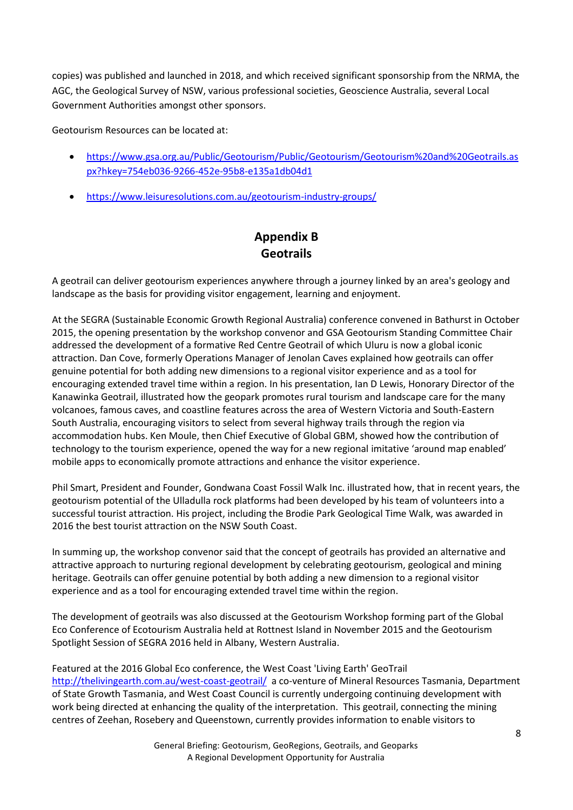copies) was published and launched in 2018, and which received significant sponsorship from the NRMA, the AGC, the Geological Survey of NSW, various professional societies, Geoscience Australia, several Local Government Authorities amongst other sponsors.

Geotourism Resources can be located at:

- [https://www.gsa.org.au/Public/Geotourism/Public/Geotourism/Geotourism%20and%20Geotrails.as](https://www.gsa.org.au/Public/Geotourism/Public/Geotourism/Geotourism%20and%20Geotrails.aspx?hkey=754eb036-9266-452e-95b8-e135a1db04d1) [px?hkey=754eb036-9266-452e-95b8-e135a1db04d1](https://www.gsa.org.au/Public/Geotourism/Public/Geotourism/Geotourism%20and%20Geotrails.aspx?hkey=754eb036-9266-452e-95b8-e135a1db04d1)
- <https://www.leisuresolutions.com.au/geotourism-industry-groups/>

## **Appendix B Geotrails**

A geotrail can deliver geotourism experiences anywhere through a journey linked by an area's geology and landscape as the basis for providing visitor engagement, learning and enjoyment.

At the SEGRA (Sustainable Economic Growth Regional Australia) conference convened in Bathurst in October 2015, the opening presentation by the workshop convenor and GSA Geotourism Standing Committee Chair addressed the development of a formative Red Centre Geotrail of which Uluru is now a global iconic attraction. Dan Cove, formerly Operations Manager of Jenolan Caves explained how geotrails can offer genuine potential for both adding new dimensions to a regional visitor experience and as a tool for encouraging extended travel time within a region. In his presentation, Ian D Lewis, Honorary Director of the Kanawinka Geotrail, illustrated how the geopark promotes rural tourism and landscape care for the many volcanoes, famous caves, and coastline features across the area of Western Victoria and South-Eastern South Australia, encouraging visitors to select from several highway trails through the region via accommodation hubs. Ken Moule, then Chief Executive of Global GBM, showed how the contribution of technology to the tourism experience, opened the way for a new regional imitative 'around map enabled' mobile apps to economically promote attractions and enhance the visitor experience.

Phil Smart, President and Founder, Gondwana Coast Fossil Walk Inc. illustrated how, that in recent years, the geotourism potential of the Ulladulla rock platforms had been developed by his team of volunteers into a successful tourist attraction. His project, including the Brodie Park Geological Time Walk, was awarded in 2016 the best tourist attraction on the NSW South Coast.

In summing up, the workshop convenor said that the concept of geotrails has provided an alternative and attractive approach to nurturing regional development by celebrating geotourism, geological and mining heritage. Geotrails can offer genuine potential by both adding a new dimension to a regional visitor experience and as a tool for encouraging extended travel time within the region.

The development of geotrails was also discussed at the Geotourism Workshop forming part of the Global Eco Conference of Ecotourism Australia held at Rottnest Island in November 2015 and the Geotourism Spotlight Session of SEGRA 2016 held in Albany, Western Australia.

Featured at the 2016 Global Eco conference, the West Coast 'Living Earth' GeoTrail <http://thelivingearth.com.au/west-coast-geotrail/> a co-venture of Mineral Resources Tasmania, Department of State Growth Tasmania, and West Coast Council is currently undergoing continuing development with work being directed at enhancing the quality of the interpretation. This geotrail, connecting the mining centres of Zeehan, Rosebery and Queenstown, currently provides information to enable visitors to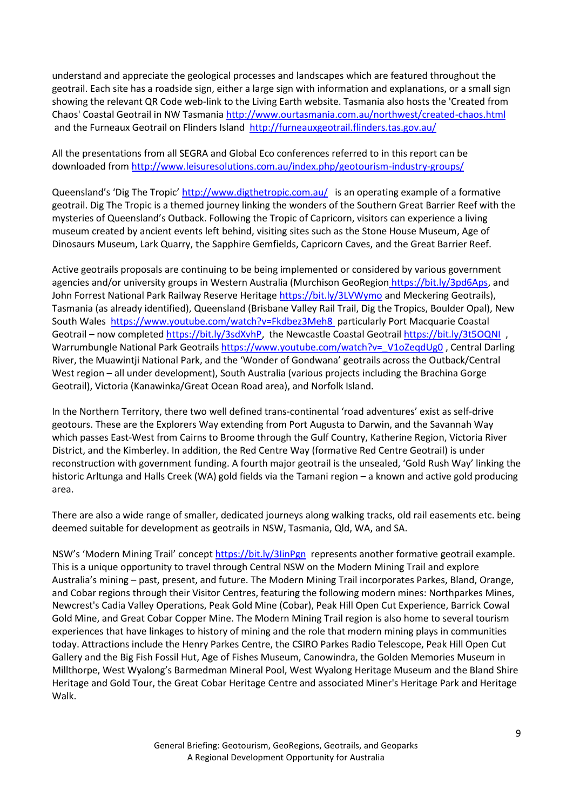understand and appreciate the geological processes and landscapes which are featured throughout the geotrail. Each site has a roadside sign, either a large sign with information and explanations, or a small sign showing the relevant QR Code web-link to the Living Earth website. Tasmania also hosts the 'Created from Chaos' Coastal Geotrail in NW Tasmania<http://www.ourtasmania.com.au/northwest/created-chaos.html> and the Furneaux Geotrail on Flinders Island <http://furneauxgeotrail.flinders.tas.gov.au/>

All the presentations from all SEGRA and Global Eco conferences referred to in this report can be downloaded fro[m http://www.leisuresolutions.com.au/index.php/geotourism-industry-groups/](http://www.leisuresolutions.com.au/index.php/geotourism-industry-groups/)

Queensland's 'Dig The Tropic' <http://www.digthetropic.com.au/>is an operating example of a formative geotrail. Dig The Tropic is a themed journey linking the wonders of the Southern Great Barrier Reef with the mysteries of Queensland's Outback. Following the Tropic of Capricorn, visitors can experience a living museum created by ancient events left behind, visiting sites such as the Stone House Museum, Age of Dinosaurs Museum, Lark Quarry, the Sapphire Gemfields, Capricorn Caves, and the Great Barrier Reef.

Active geotrails proposals are continuing to be being implemented or considered by various government agencies and/or university groups in Western Australia (Murchison GeoRegion https://bit.ly/3pd6Aps, and John Forrest National Park Railway Reserve Heritage <https://bit.ly/3LVWymo> and Meckering Geotrails), Tasmania (as already identified), Queensland (Brisbane Valley Rail Trail, Dig the Tropics, Boulder Opal), New South Wales <https://www.youtube.com/watch?v=Fkdbez3Meh8> particularly Port Macquarie Coastal Geotrail – now completed [https://bit.ly/3sdXvhP,](https://bit.ly/3sdXvhP) the Newcastle Coastal Geotrai[l https://bit.ly/3t5OQNI](https://bit.ly/3t5OQNI) , Warrumbungle National Park Geotrails [https://www.youtube.com/watch?v=\\_V1oZeqdUg0](https://www.youtube.com/watch?v=_V1oZeqdUg0), Central Darling River, the Muawintji National Park, and the 'Wonder of Gondwana' geotrails across the Outback/Central West region – all under development), South Australia (various projects including the Brachina Gorge Geotrail), Victoria (Kanawinka/Great Ocean Road area), and Norfolk Island.

In the Northern Territory, there two well defined trans-continental 'road adventures' exist as self-drive geotours. These are the Explorers Way extending from Port Augusta to Darwin, and the Savannah Way which passes East-West from Cairns to Broome through the Gulf Country, Katherine Region, Victoria River District, and the Kimberley. In addition, the Red Centre Way (formative Red Centre Geotrail) is under reconstruction with government funding. A fourth major geotrail is the unsealed, 'Gold Rush Way' linking the historic Arltunga and Halls Creek (WA) gold fields via the Tamani region – a known and active gold producing area.

There are also a wide range of smaller, dedicated journeys along walking tracks, old rail easements etc. being deemed suitable for development as geotrails in NSW, Tasmania, Qld, WA, and SA.

NSW's 'Modern Mining Trail' concep[t https://bit.ly/3IinPgn](https://bit.ly/3IinPgn) represents another formative geotrail example. This is a unique opportunity to travel through Central NSW on the Modern Mining Trail and explore Australia's mining – past, present, and future. The Modern Mining Trail incorporates Parkes, Bland, Orange, and Cobar regions through their Visitor Centres, featuring the following modern mines: Northparkes Mines, Newcrest's Cadia Valley Operations, Peak Gold Mine (Cobar), Peak Hill Open Cut Experience, Barrick Cowal Gold Mine, and Great Cobar Copper Mine. The Modern Mining Trail region is also home to several tourism experiences that have linkages to history of mining and the role that modern mining plays in communities today. Attractions include the Henry Parkes Centre, the CSIRO Parkes Radio Telescope, Peak Hill Open Cut Gallery and the Big Fish Fossil Hut, Age of Fishes Museum, Canowindra, the Golden Memories Museum in Millthorpe, West Wyalong's Barmedman Mineral Pool, West Wyalong Heritage Museum and the Bland Shire Heritage and Gold Tour, the Great Cobar Heritage Centre and associated Miner's Heritage Park and Heritage Walk.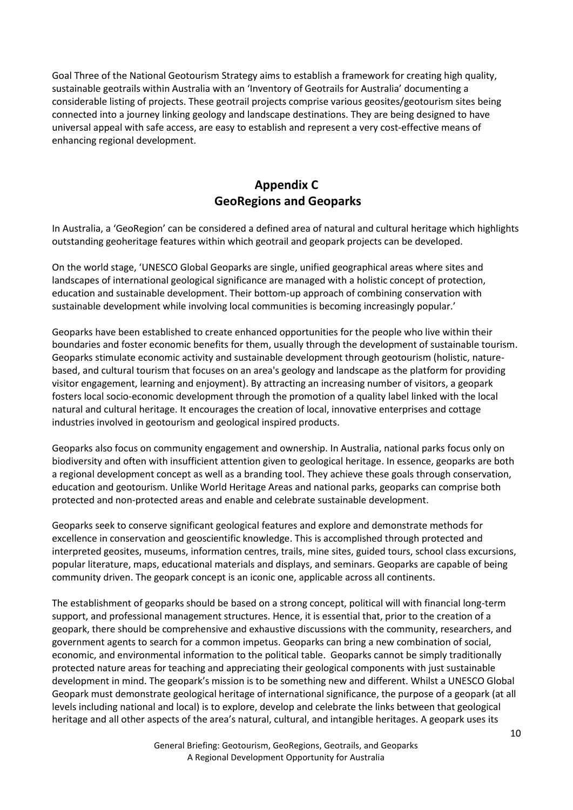Goal Three of the National Geotourism Strategy aims to establish a framework for creating high quality, sustainable geotrails within Australia with an 'Inventory of Geotrails for Australia' documenting a considerable listing of projects. These geotrail projects comprise various geosites/geotourism sites being connected into a journey linking geology and landscape destinations. They are being designed to have universal appeal with safe access, are easy to establish and represent a very cost-effective means of enhancing regional development.

# **Appendix C GeoRegions and Geoparks**

In Australia, a 'GeoRegion' can be considered a defined area of natural and cultural heritage which highlights outstanding geoheritage features within which geotrail and geopark projects can be developed.

On the world stage, 'UNESCO Global Geoparks are single, unified geographical areas where sites and landscapes of international geological significance are managed with a holistic concept of protection, education and sustainable development. Their bottom-up approach of combining conservation with sustainable development while involving local communities is becoming increasingly popular.'

Geoparks have been established to create enhanced opportunities for the people who live within their boundaries and foster economic benefits for them, usually through the development of sustainable tourism. Geoparks stimulate economic activity and sustainable development through geotourism (holistic, naturebased, and cultural tourism that focuses on an area's geology and landscape as the platform for providing visitor engagement, learning and enjoyment). By attracting an increasing number of visitors, a geopark fosters local socio-economic development through the promotion of a quality label linked with the local natural and cultural heritage. It encourages the creation of local, innovative enterprises and cottage industries involved in geotourism and geological inspired products.

Geoparks also focus on community engagement and ownership. In Australia, national parks focus only on biodiversity and often with insufficient attention given to geological heritage. In essence, geoparks are both a regional development concept as well as a branding tool. They achieve these goals through conservation, education and geotourism. Unlike World Heritage Areas and national parks, geoparks can comprise both protected and non-protected areas and enable and celebrate sustainable development.

Geoparks seek to conserve significant geological features and explore and demonstrate methods for excellence in conservation and geoscientific knowledge. This is accomplished through protected and interpreted geosites, museums, information centres, trails, mine sites, guided tours, school class excursions, popular literature, maps, educational materials and displays, and seminars. Geoparks are capable of being community driven. The geopark concept is an iconic one, applicable across all continents.

The establishment of geoparks should be based on a strong concept, political will with financial long-term support, and professional management structures. Hence, it is essential that, prior to the creation of a geopark, there should be comprehensive and exhaustive discussions with the community, researchers, and government agents to search for a common impetus. Geoparks can bring a new combination of social, economic, and environmental information to the political table. Geoparks cannot be simply traditionally protected nature areas for teaching and appreciating their geological components with just sustainable development in mind. The geopark's mission is to be something new and different. Whilst a UNESCO Global Geopark must demonstrate geological heritage of international significance, the purpose of a geopark (at all levels including national and local) is to explore, develop and celebrate the links between that geological heritage and all other aspects of the area's natural, cultural, and intangible heritages. A geopark uses its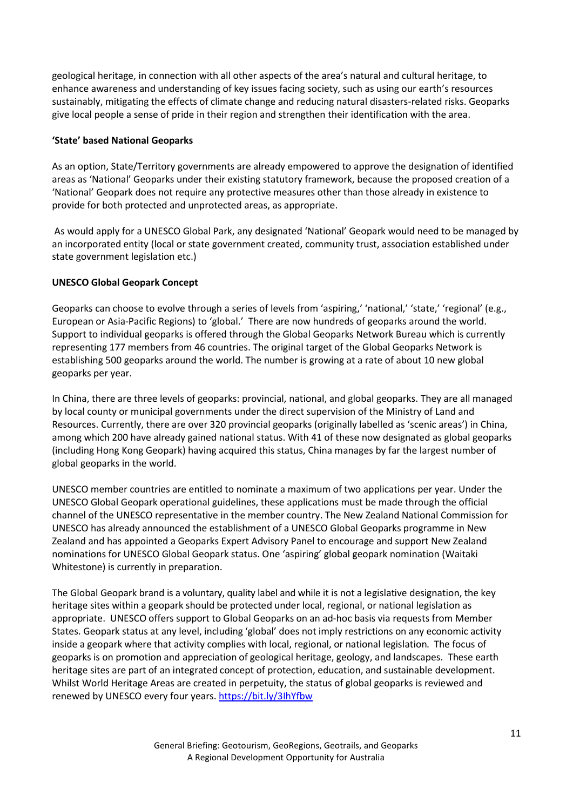geological heritage, in connection with all other aspects of the area's natural and cultural heritage, to enhance awareness and understanding of key issues facing society, such as using our earth's resources sustainably, mitigating the effects of climate change and reducing natural disasters-related risks. Geoparks give local people a sense of pride in their region and strengthen their identification with the area.

#### **'State' based National Geoparks**

As an option, State/Territory governments are already empowered to approve the designation of identified areas as 'National' Geoparks under their existing statutory framework, because the proposed creation of a 'National' Geopark does not require any protective measures other than those already in existence to provide for both protected and unprotected areas, as appropriate.

As would apply for a UNESCO Global Park, any designated 'National' Geopark would need to be managed by an incorporated entity (local or state government created, community trust, association established under state government legislation etc.)

#### **UNESCO Global Geopark Concept**

Geoparks can choose to evolve through a series of levels from 'aspiring,' 'national,' 'state,' 'regional' (e.g., European or Asia-Pacific Regions) to 'global.' There are now hundreds of geoparks around the world. Support to individual geoparks is offered through the Global Geoparks Network Bureau which is currently representing 177 members from 46 countries. The original target of the Global Geoparks Network is establishing 500 geoparks around the world. The number is growing at a rate of about 10 new global geoparks per year.

In China, there are three levels of geoparks: provincial, national, and global geoparks. They are all managed by local county or municipal governments under the direct supervision of the Ministry of Land and Resources. Currently, there are over 320 provincial geoparks (originally labelled as 'scenic areas') in China, among which 200 have already gained national status. With 41 of these now designated as global geoparks (including Hong Kong Geopark) having acquired this status, China manages by far the largest number of global geoparks in the world.

UNESCO member countries are entitled to nominate a maximum of two applications per year. Under the UNESCO Global Geopark operational guidelines, these applications must be made through the official channel of the UNESCO representative in the member country. The New Zealand National Commission for UNESCO has already announced the establishment of a UNESCO Global Geoparks programme in New Zealand and has appointed a Geoparks Expert Advisory Panel to encourage and support New Zealand nominations for UNESCO Global Geopark status. One 'aspiring' global geopark nomination (Waitaki Whitestone) is currently in preparation.

The Global Geopark brand is a voluntary, quality label and while it is not a legislative designation, the key heritage sites within a geopark should be protected under local, regional, or national legislation as appropriate. UNESCO offers support to Global Geoparks on an ad-hoc basis via requests from Member States. Geopark status at any level, including 'global' does not imply restrictions on any economic activity inside a geopark where that activity complies with local, regional, or national legislation. The focus of geoparks is on promotion and appreciation of geological heritage, geology, and landscapes. These earth heritage sites are part of an integrated concept of protection, education, and sustainable development. Whilst World Heritage Areas are created in perpetuity, the status of global geoparks is reviewed and renewed by UNESCO every four years. <https://bit.ly/3IhYfbw>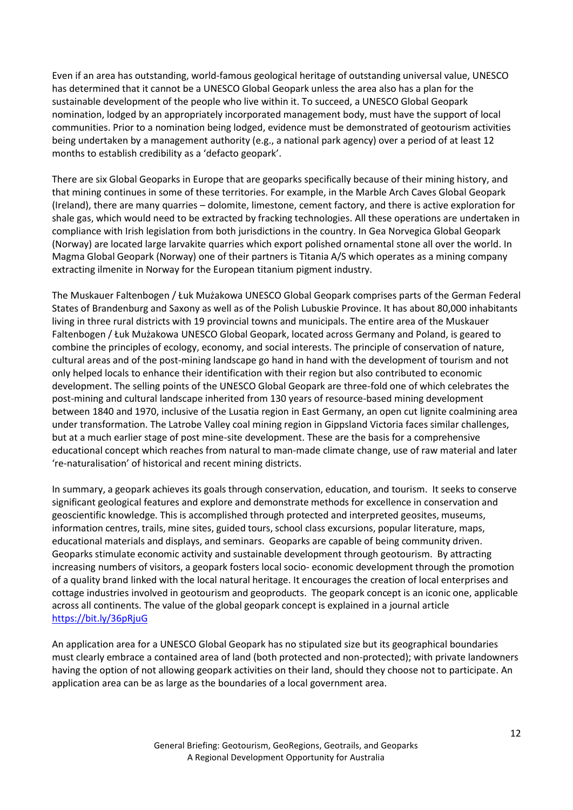Even if an area has outstanding, world-famous geological heritage of outstanding universal value, UNESCO has determined that it cannot be a UNESCO Global Geopark unless the area also has a plan for the sustainable development of the people who live within it. To succeed, a UNESCO Global Geopark nomination, lodged by an appropriately incorporated management body, must have the support of local communities. Prior to a nomination being lodged, evidence must be demonstrated of geotourism activities being undertaken by a management authority (e.g., a national park agency) over a period of at least 12 months to establish credibility as a 'defacto geopark'.

There are six Global Geoparks in Europe that are geoparks specifically because of their mining history, and that mining continues in some of these territories. For example, in the Marble Arch Caves Global Geopark (Ireland), there are many quarries – dolomite, limestone, cement factory, and there is active exploration for shale gas, which would need to be extracted by fracking technologies. All these operations are undertaken in compliance with Irish legislation from both jurisdictions in the country. In Gea Norvegica Global Geopark (Norway) are located large larvakite quarries which export polished ornamental stone all over the world. In Magma Global Geopark (Norway) one of their partners is Titania A/S which operates as a mining company extracting ilmenite in Norway for the European titanium pigment industry.

The Muskauer Faltenbogen / Łuk Mużakowa UNESCO Global Geopark comprises parts of the German Federal States of Brandenburg and Saxony as well as of the Polish Lubuskie Province. It has about 80,000 inhabitants living in three rural districts with 19 provincial towns and municipals. The entire area of the Muskauer Faltenbogen / Łuk Mużakowa UNESCO Global Geopark, located across Germany and Poland, is geared to combine the principles of ecology, economy, and social interests. The principle of conservation of nature, cultural areas and of the post-mining landscape go hand in hand with the development of tourism and not only helped locals to enhance their identification with their region but also contributed to economic development. The selling points of the UNESCO Global Geopark are three-fold one of which celebrates the post-mining and cultural landscape inherited from 130 years of resource-based mining development between 1840 and 1970, inclusive of the Lusatia region in East Germany, an open cut lignite coalmining area under transformation. The Latrobe Valley coal mining region in Gippsland Victoria faces similar challenges, but at a much earlier stage of post mine-site development. These are the basis for a comprehensive educational concept which reaches from natural to man-made climate change, use of raw material and later 're-naturalisation' of historical and recent mining districts.

In summary, a geopark achieves its goals through conservation, education, and tourism. It seeks to conserve significant geological features and explore and demonstrate methods for excellence in conservation and geoscientific knowledge. This is accomplished through protected and interpreted geosites, museums, information centres, trails, mine sites, guided tours, school class excursions, popular literature, maps, educational materials and displays, and seminars. Geoparks are capable of being community driven. Geoparks stimulate economic activity and sustainable development through geotourism. By attracting increasing numbers of visitors, a geopark fosters local socio- economic development through the promotion of a quality brand linked with the local natural heritage. It encourages the creation of local enterprises and cottage industries involved in geotourism and geoproducts. The geopark concept is an iconic one, applicable across all continents. The value of the global geopark concept is explained in a journal article <https://bit.ly/36pRjuG>

An application area for a UNESCO Global Geopark has no stipulated size but its geographical boundaries must clearly embrace a contained area of land (both protected and non-protected); with private landowners having the option of not allowing geopark activities on their land, should they choose not to participate. An application area can be as large as the boundaries of a local government area.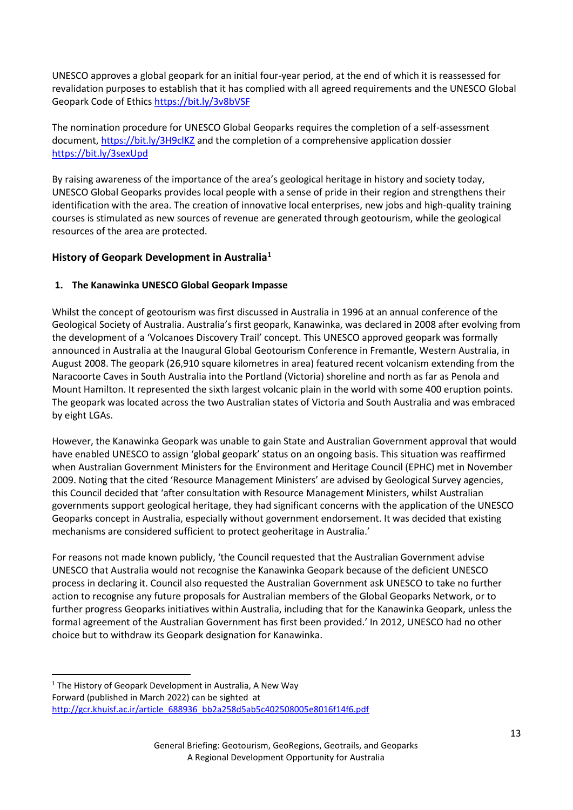UNESCO approves a global geopark for an initial four-year period, at the end of which it is reassessed for revalidation purposes to establish that it has complied with all agreed requirements and the UNESCO Global Geopark Code of Ethics https://bit.ly/3v8bVSF

The nomination procedure for UNESCO Global Geoparks requires the completion of a self-assessment document, <https://bit.ly/3H9clKZ> and the completion of a comprehensive application dossier <https://bit.ly/3sexUpd>

By raising awareness of the importance of the area's geological heritage in history and society today, UNESCO Global Geoparks provides local people with a sense of pride in their region and strengthens their identification with the area. The creation of innovative local enterprises, new jobs and high-quality training courses is stimulated as new sources of revenue are generated through geotourism, while the geological resources of the area are protected.

## **History of Geopark Development in Australia<sup>1</sup>**

## **1. The Kanawinka UNESCO Global Geopark Impasse**

Whilst the concept of geotourism was first discussed in Australia in 1996 at an annual conference of the Geological Society of Australia. Australia's first geopark, Kanawinka, was declared in 2008 after evolving from the development of a 'Volcanoes Discovery Trail' concept. This UNESCO approved geopark was formally announced in Australia at the Inaugural Global Geotourism Conference in Fremantle, Western Australia, in August 2008. The geopark (26,910 square kilometres in area) featured recent volcanism extending from the Naracoorte Caves in South Australia into the Portland (Victoria) shoreline and north as far as Penola and Mount Hamilton. It represented the sixth largest volcanic plain in the world with some 400 eruption points. The geopark was located across the two Australian states of Victoria and South Australia and was embraced by eight LGAs.

However, the Kanawinka Geopark was unable to gain State and Australian Government approval that would have enabled UNESCO to assign 'global geopark' status on an ongoing basis. This situation was reaffirmed when Australian Government Ministers for the Environment and Heritage Council (EPHC) met in November 2009. Noting that the cited 'Resource Management Ministers' are advised by Geological Survey agencies, this Council decided that 'after consultation with Resource Management Ministers, whilst Australian governments support geological heritage, they had significant concerns with the application of the UNESCO Geoparks concept in Australia, especially without government endorsement. It was decided that existing mechanisms are considered sufficient to protect geoheritage in Australia.'

For reasons not made known publicly, 'the Council requested that the Australian Government advise UNESCO that Australia would not recognise the Kanawinka Geopark because of the deficient UNESCO process in declaring it. Council also requested the Australian Government ask UNESCO to take no further action to recognise any future proposals for Australian members of the Global Geoparks Network, or to further progress Geoparks initiatives within Australia, including that for the Kanawinka Geopark, unless the formal agreement of the Australian Government has first been provided.' In 2012, UNESCO had no other choice but to withdraw its Geopark designation for Kanawinka.

 $1$  The History of Geopark Development in Australia, A New Way Forward (published in March 2022) can be sighted at [http://gcr.khuisf.ac.ir/article\\_688936\\_bb2a258d5ab5c402508005e8016f14f6.pdf](http://gcr.khuisf.ac.ir/article_688936_bb2a258d5ab5c402508005e8016f14f6.pdf)

General Briefing: Geotourism, GeoRegions, Geotrails, and Geoparks A Regional Development Opportunity for Australia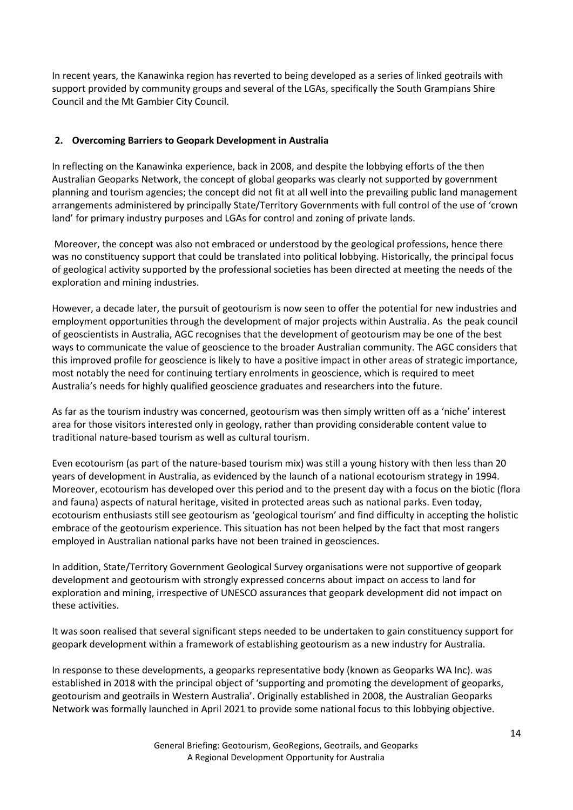In recent years, the Kanawinka region has reverted to being developed as a series of linked geotrails with support provided by community groups and several of the LGAs, specifically the South Grampians Shire Council and the Mt Gambier City Council.

### **2. Overcoming Barriers to Geopark Development in Australia**

In reflecting on the Kanawinka experience, back in 2008, and despite the lobbying efforts of the then Australian Geoparks Network, the concept of global geoparks was clearly not supported by government planning and tourism agencies; the concept did not fit at all well into the prevailing public land management arrangements administered by principally State/Territory Governments with full control of the use of 'crown land' for primary industry purposes and LGAs for control and zoning of private lands.

Moreover, the concept was also not embraced or understood by the geological professions, hence there was no constituency support that could be translated into political lobbying. Historically, the principal focus of geological activity supported by the professional societies has been directed at meeting the needs of the exploration and mining industries.

However, a decade later, the pursuit of geotourism is now seen to offer the potential for new industries and employment opportunities through the development of major projects within Australia. As the peak council of geoscientists in Australia, AGC recognises that the development of geotourism may be one of the best ways to communicate the value of geoscience to the broader Australian community. The AGC considers that this improved profile for geoscience is likely to have a positive impact in other areas of strategic importance, most notably the need for continuing tertiary enrolments in geoscience, which is required to meet Australia's needs for highly qualified geoscience graduates and researchers into the future.

As far as the tourism industry was concerned, geotourism was then simply written off as a 'niche' interest area for those visitors interested only in geology, rather than providing considerable content value to traditional nature-based tourism as well as cultural tourism.

Even ecotourism (as part of the nature-based tourism mix) was still a young history with then less than 20 years of development in Australia, as evidenced by the launch of a national ecotourism strategy in 1994. Moreover, ecotourism has developed over this period and to the present day with a focus on the biotic (flora and fauna) aspects of natural heritage, visited in protected areas such as national parks. Even today, ecotourism enthusiasts still see geotourism as 'geological tourism' and find difficulty in accepting the holistic embrace of the geotourism experience. This situation has not been helped by the fact that most rangers employed in Australian national parks have not been trained in geosciences.

In addition, State/Territory Government Geological Survey organisations were not supportive of geopark development and geotourism with strongly expressed concerns about impact on access to land for exploration and mining, irrespective of UNESCO assurances that geopark development did not impact on these activities.

It was soon realised that several significant steps needed to be undertaken to gain constituency support for geopark development within a framework of establishing geotourism as a new industry for Australia.

In response to these developments, a geoparks representative body (known as Geoparks WA Inc). was established in 2018 with the principal object of 'supporting and promoting the development of geoparks, geotourism and geotrails in Western Australia'. Originally established in 2008, the Australian Geoparks Network was formally launched in April 2021 to provide some national focus to this lobbying objective.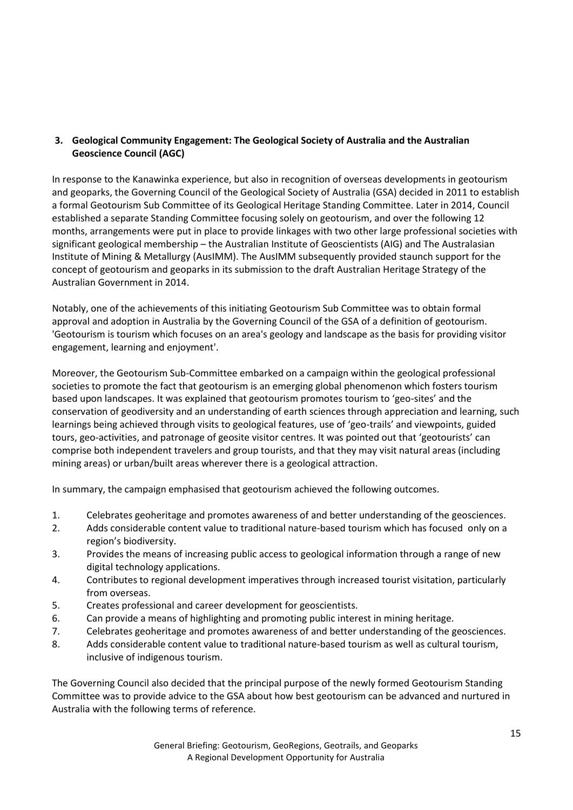## **3. Geological Community Engagement: The Geological Society of Australia and the Australian Geoscience Council (AGC)**

In response to the Kanawinka experience, but also in recognition of overseas developments in geotourism and geoparks, the Governing Council of the Geological Society of Australia (GSA) decided in 2011 to establish a formal Geotourism Sub Committee of its Geological Heritage Standing Committee. Later in 2014, Council established a separate Standing Committee focusing solely on geotourism, and over the following 12 months, arrangements were put in place to provide linkages with two other large professional societies with significant geological membership – the Australian Institute of Geoscientists (AIG) and The Australasian Institute of Mining & Metallurgy (AusIMM). The AusIMM subsequently provided staunch support for the concept of geotourism and geoparks in its submission to the draft Australian Heritage Strategy of the Australian Government in 2014.

Notably, one of the achievements of this initiating Geotourism Sub Committee was to obtain formal approval and adoption in Australia by the Governing Council of the GSA of a definition of geotourism. 'Geotourism is tourism which focuses on an area's geology and landscape as the basis for providing visitor engagement, learning and enjoyment'.

Moreover, the Geotourism Sub-Committee embarked on a campaign within the geological professional societies to promote the fact that geotourism is an emerging global phenomenon which fosters tourism based upon landscapes. It was explained that geotourism promotes tourism to 'geo-sites' and the conservation of geodiversity and an understanding of earth sciences through appreciation and learning, such learnings being achieved through visits to geological features, use of 'geo-trails' and viewpoints, guided tours, geo-activities, and patronage of geosite visitor centres. It was pointed out that 'geotourists' can comprise both independent travelers and group tourists, and that they may visit natural areas (including mining areas) or urban/built areas wherever there is a geological attraction.

In summary, the campaign emphasised that geotourism achieved the following outcomes.

- 1. Celebrates geoheritage and promotes awareness of and better understanding of the geosciences.
- 2. Adds considerable content value to traditional nature-based tourism which has focused only on a region's biodiversity.
- 3. Provides the means of increasing public access to geological information through a range of new digital technology applications.
- 4. Contributes to regional development imperatives through increased tourist visitation, particularly from overseas.
- 5. Creates professional and career development for geoscientists.
- 6. Can provide a means of highlighting and promoting public interest in mining heritage.
- 7. Celebrates geoheritage and promotes awareness of and better understanding of the geosciences.
- 8. Adds considerable content value to traditional nature-based tourism as well as cultural tourism, inclusive of indigenous tourism.

The Governing Council also decided that the principal purpose of the newly formed Geotourism Standing Committee was to provide advice to the GSA about how best geotourism can be advanced and nurtured in Australia with the following terms of reference.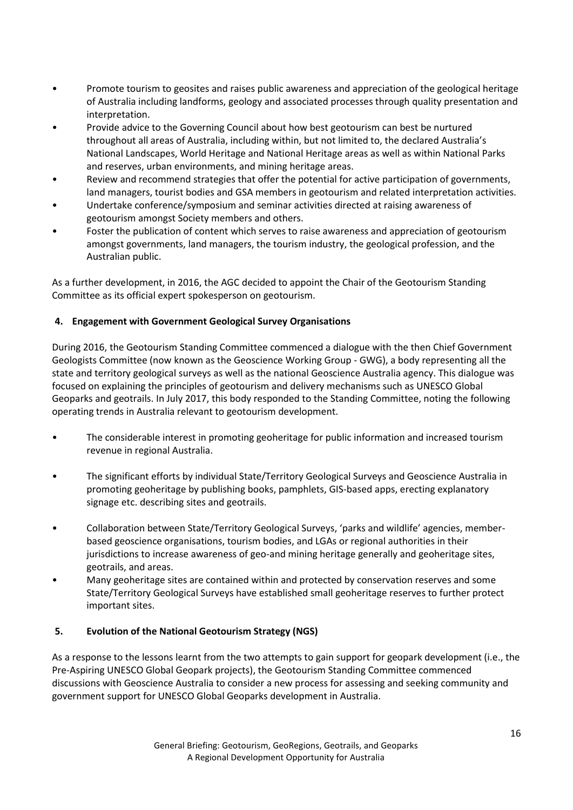- Promote tourism to geosites and raises public awareness and appreciation of the geological heritage of Australia including landforms, geology and associated processes through quality presentation and interpretation.
- Provide advice to the Governing Council about how best geotourism can best be nurtured throughout all areas of Australia, including within, but not limited to, the declared Australia's National Landscapes, World Heritage and National Heritage areas as well as within National Parks and reserves, urban environments, and mining heritage areas.
- Review and recommend strategies that offer the potential for active participation of governments, land managers, tourist bodies and GSA members in geotourism and related interpretation activities.
- Undertake conference/symposium and seminar activities directed at raising awareness of geotourism amongst Society members and others.
- Foster the publication of content which serves to raise awareness and appreciation of geotourism amongst governments, land managers, the tourism industry, the geological profession, and the Australian public.

As a further development, in 2016, the AGC decided to appoint the Chair of the Geotourism Standing Committee as its official expert spokesperson on geotourism.

### **4. Engagement with Government Geological Survey Organisations**

During 2016, the Geotourism Standing Committee commenced a dialogue with the then Chief Government Geologists Committee (now known as the Geoscience Working Group - GWG), a body representing all the state and territory geological surveys as well as the national Geoscience Australia agency. This dialogue was focused on explaining the principles of geotourism and delivery mechanisms such as UNESCO Global Geoparks and geotrails. In July 2017, this body responded to the Standing Committee, noting the following operating trends in Australia relevant to geotourism development.

- The considerable interest in promoting geoheritage for public information and increased tourism revenue in regional Australia.
- The significant efforts by individual State/Territory Geological Surveys and Geoscience Australia in promoting geoheritage by publishing books, pamphlets, GIS-based apps, erecting explanatory signage etc. describing sites and geotrails.
- Collaboration between State/Territory Geological Surveys, 'parks and wildlife' agencies, memberbased geoscience organisations, tourism bodies, and LGAs or regional authorities in their jurisdictions to increase awareness of geo-and mining heritage generally and geoheritage sites, geotrails, and areas.
- Many geoheritage sites are contained within and protected by conservation reserves and some State/Territory Geological Surveys have established small geoheritage reserves to further protect important sites.

## **5. Evolution of the National Geotourism Strategy (NGS)**

As a response to the lessons learnt from the two attempts to gain support for geopark development (i.e., the Pre-Aspiring UNESCO Global Geopark projects), the Geotourism Standing Committee commenced discussions with Geoscience Australia to consider a new process for assessing and seeking community and government support for UNESCO Global Geoparks development in Australia.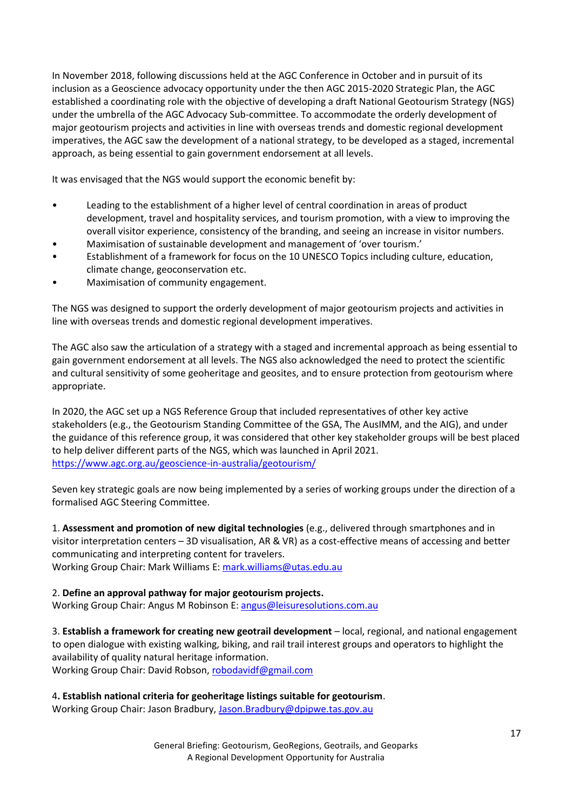In November 2018, following discussions held at the AGC Conference in October and in pursuit of its inclusion as a Geoscience advocacy opportunity under the then AGC 2015-2020 Strategic Plan, the AGC established a coordinating role with the objective of developing a draft National Geotourism Strategy (NGS) under the umbrella of the AGC Advocacy Sub-committee. To accommodate the orderly development of major geotourism projects and activities in line with overseas trends and domestic regional development imperatives, the AGC saw the development of a national strategy, to be developed as a staged, incremental approach, as being essential to gain government endorsement at all levels.

It was envisaged that the NGS would support the economic benefit by:

- Leading to the establishment of a higher level of central coordination in areas of product development, travel and hospitality services, and tourism promotion, with a view to improving the overall visitor experience, consistency of the branding, and seeing an increase in visitor numbers.
- Maximisation of sustainable development and management of 'over tourism.'
- Establishment of a framework for focus on the 10 UNESCO Topics including culture, education, climate change, geoconservation etc.
- Maximisation of community engagement.

The NGS was designed to support the orderly development of major geotourism projects and activities in line with overseas trends and domestic regional development imperatives.

The AGC also saw the articulation of a strategy with a staged and incremental approach as being essential to gain government endorsement at all levels. The NGS also acknowledged the need to protect the scientific and cultural sensitivity of some geoheritage and geosites, and to ensure protection from geotourism where appropriate.

In 2020, the AGC set up a NGS Reference Group that included representatives of other key active stakeholders (e.g., the Geotourism Standing Committee of the GSA, The AusIMM, and the AIG), and under the guidance of this reference group, it was considered that other key stakeholder groups will be best placed to help deliver different parts of the NGS, which was launched in April 2021. <https://www.agc.org.au/geoscience-in-australia/geotourism/>

Seven key strategic goals are now being implemented by a series of working groups under the direction of a formalised AGC Steering Committee.

1. **Assessment and promotion of new digital technologies** (e.g., delivered through smartphones and in visitor interpretation centers – 3D visualisation, AR & VR) as a cost-effective means of accessing and better communicating and interpreting content for travelers. Working Group Chair: Mark Williams E: [mark.williams@utas.edu.au](mailto:mark.williams@utas.edu.au)

## 2. **Define an approval pathway for major geotourism projects.**

Working Group Chair: Angus M Robinson E[: angus@leisuresolutions.com.au](mailto:angus@leisuresolutions.com.au)

3. **Establish a framework for creating new geotrail development** – local, regional, and national engagement to open dialogue with existing walking, biking, and rail trail interest groups and operators to highlight the availability of quality natural heritage information. Working Group Chair: David Robson, [robodavidf@gmail.com](mailto:robodavidf@gmail.com)

4**. Establish national criteria for geoheritage listings suitable for geotourism**.

Working Group Chair: Jason Bradbury, [Jason.Bradbury@dpipwe.tas.gov.au](mailto:Jason.Bradbury@dpipwe.tas.gov.au)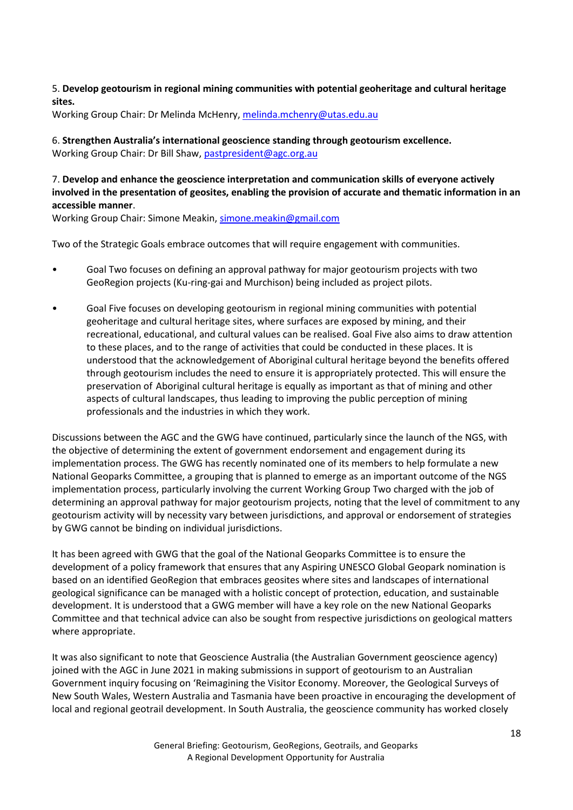#### 5. **Develop geotourism in regional mining communities with potential geoheritage and cultural heritage sites.**

Working Group Chair: Dr Melinda McHenry, [melinda.mchenry@utas.edu.au](mailto:melinda.mchenry@utas.edu.au)

6. **Strengthen Australia's international geoscience standing through geotourism excellence.** Working Group Chair: Dr Bill Shaw, [pastpresident@agc.org.au](mailto:pastpresident@agc.org.au)

### 7. **Develop and enhance the geoscience interpretation and communication skills of everyone actively involved in the presentation of geosites, enabling the provision of accurate and thematic information in an accessible manner**.

Working Group Chair: Simone Meakin, [simone.meakin@gmail.com](mailto:simone.meakin@gmail.com)

Two of the Strategic Goals embrace outcomes that will require engagement with communities.

- Goal Two focuses on defining an approval pathway for major geotourism projects with two GeoRegion projects (Ku-ring-gai and Murchison) being included as project pilots.
- Goal Five focuses on developing geotourism in regional mining communities with potential geoheritage and cultural heritage sites, where surfaces are exposed by mining, and their recreational, educational, and cultural values can be realised. Goal Five also aims to draw attention to these places, and to the range of activities that could be conducted in these places. It is understood that the acknowledgement of Aboriginal cultural heritage beyond the benefits offered through geotourism includes the need to ensure it is appropriately protected. This will ensure the preservation of Aboriginal cultural heritage is equally as important as that of mining and other aspects of cultural landscapes, thus leading to improving the public perception of mining professionals and the industries in which they work.

Discussions between the AGC and the GWG have continued, particularly since the launch of the NGS, with the objective of determining the extent of government endorsement and engagement during its implementation process. The GWG has recently nominated one of its members to help formulate a new National Geoparks Committee, a grouping that is planned to emerge as an important outcome of the NGS implementation process, particularly involving the current Working Group Two charged with the job of determining an approval pathway for major geotourism projects, noting that the level of commitment to any geotourism activity will by necessity vary between jurisdictions, and approval or endorsement of strategies by GWG cannot be binding on individual jurisdictions.

It has been agreed with GWG that the goal of the National Geoparks Committee is to ensure the development of a policy framework that ensures that any Aspiring UNESCO Global Geopark nomination is based on an identified GeoRegion that embraces geosites where sites and landscapes of international geological significance can be managed with a holistic concept of protection, education, and sustainable development. It is understood that a GWG member will have a key role on the new National Geoparks Committee and that technical advice can also be sought from respective jurisdictions on geological matters where appropriate.

It was also significant to note that Geoscience Australia (the Australian Government geoscience agency) joined with the AGC in June 2021 in making submissions in support of geotourism to an Australian Government inquiry focusing on 'Reimagining the Visitor Economy. Moreover, the Geological Surveys of New South Wales, Western Australia and Tasmania have been proactive in encouraging the development of local and regional geotrail development. In South Australia, the geoscience community has worked closely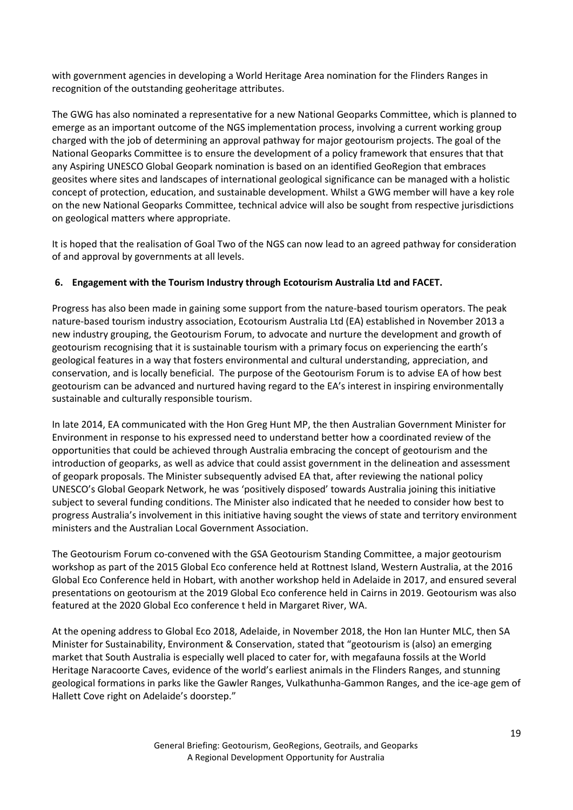with government agencies in developing a World Heritage Area nomination for the Flinders Ranges in recognition of the outstanding geoheritage attributes.

The GWG has also nominated a representative for a new National Geoparks Committee, which is planned to emerge as an important outcome of the NGS implementation process, involving a current working group charged with the job of determining an approval pathway for major geotourism projects. The goal of the National Geoparks Committee is to ensure the development of a policy framework that ensures that that any Aspiring UNESCO Global Geopark nomination is based on an identified GeoRegion that embraces geosites where sites and landscapes of international geological significance can be managed with a holistic concept of protection, education, and sustainable development. Whilst a GWG member will have a key role on the new National Geoparks Committee, technical advice will also be sought from respective jurisdictions on geological matters where appropriate.

It is hoped that the realisation of Goal Two of the NGS can now lead to an agreed pathway for consideration of and approval by governments at all levels.

## **6. Engagement with the Tourism Industry through Ecotourism Australia Ltd and FACET.**

Progress has also been made in gaining some support from the nature-based tourism operators. The peak nature-based tourism industry association, Ecotourism Australia Ltd (EA) established in November 2013 a new industry grouping, the Geotourism Forum, to advocate and nurture the development and growth of geotourism recognising that it is sustainable tourism with a primary focus on experiencing the earth's geological features in a way that fosters environmental and cultural understanding, appreciation, and conservation, and is locally beneficial. The purpose of the Geotourism Forum is to advise EA of how best geotourism can be advanced and nurtured having regard to the EA's interest in inspiring environmentally sustainable and culturally responsible tourism.

In late 2014, EA communicated with the Hon Greg Hunt MP, the then Australian Government Minister for Environment in response to his expressed need to understand better how a coordinated review of the opportunities that could be achieved through Australia embracing the concept of geotourism and the introduction of geoparks, as well as advice that could assist government in the delineation and assessment of geopark proposals. The Minister subsequently advised EA that, after reviewing the national policy UNESCO's Global Geopark Network, he was 'positively disposed' towards Australia joining this initiative subject to several funding conditions. The Minister also indicated that he needed to consider how best to progress Australia's involvement in this initiative having sought the views of state and territory environment ministers and the Australian Local Government Association.

The Geotourism Forum co-convened with the GSA Geotourism Standing Committee, a major geotourism workshop as part of the 2015 Global Eco conference held at Rottnest Island, Western Australia, at the 2016 Global Eco Conference held in Hobart, with another workshop held in Adelaide in 2017, and ensured several presentations on geotourism at the 2019 Global Eco conference held in Cairns in 2019. Geotourism was also featured at the 2020 Global Eco conference t held in Margaret River, WA.

At the opening address to Global Eco 2018, Adelaide, in November 2018, the Hon Ian Hunter MLC, then SA Minister for Sustainability, Environment & Conservation, stated that "geotourism is (also) an emerging market that South Australia is especially well placed to cater for, with megafauna fossils at the World Heritage Naracoorte Caves, evidence of the world's earliest animals in the Flinders Ranges, and stunning geological formations in parks like the Gawler Ranges, Vulkathunha-Gammon Ranges, and the ice-age gem of Hallett Cove right on Adelaide's doorstep."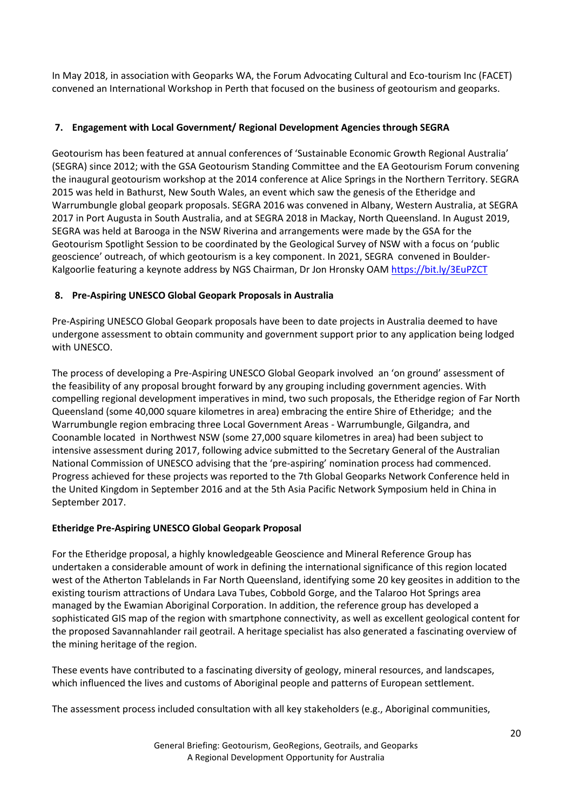In May 2018, in association with Geoparks WA, the Forum Advocating Cultural and Eco-tourism Inc (FACET) convened an International Workshop in Perth that focused on the business of geotourism and geoparks.

## **7. Engagement with Local Government/ Regional Development Agencies through SEGRA**

Geotourism has been featured at annual conferences of 'Sustainable Economic Growth Regional Australia' (SEGRA) since 2012; with the GSA Geotourism Standing Committee and the EA Geotourism Forum convening the inaugural geotourism workshop at the 2014 conference at Alice Springs in the Northern Territory. SEGRA 2015 was held in Bathurst, New South Wales, an event which saw the genesis of the Etheridge and Warrumbungle global geopark proposals. SEGRA 2016 was convened in Albany, Western Australia, at SEGRA 2017 in Port Augusta in South Australia, and at SEGRA 2018 in Mackay, North Queensland. In August 2019, SEGRA was held at Barooga in the NSW Riverina and arrangements were made by the GSA for the Geotourism Spotlight Session to be coordinated by the Geological Survey of NSW with a focus on 'public geoscience' outreach, of which geotourism is a key component. In 2021, SEGRA convened in Boulder-Kalgoorlie featuring a keynote address by NGS Chairman, Dr Jon Hronsky OA[M https://bit.ly/3EuPZCT](https://bit.ly/3EuPZCT)

### **8. Pre-Aspiring UNESCO Global Geopark Proposals in Australia**

Pre-Aspiring UNESCO Global Geopark proposals have been to date projects in Australia deemed to have undergone assessment to obtain community and government support prior to any application being lodged with UNESCO.

The process of developing a Pre-Aspiring UNESCO Global Geopark involved an 'on ground' assessment of the feasibility of any proposal brought forward by any grouping including government agencies. With compelling regional development imperatives in mind, two such proposals, the Etheridge region of Far North Queensland (some 40,000 square kilometres in area) embracing the entire Shire of Etheridge; and the Warrumbungle region embracing three Local Government Areas - Warrumbungle, Gilgandra, and Coonamble located in Northwest NSW (some 27,000 square kilometres in area) had been subject to intensive assessment during 2017, following advice submitted to the Secretary General of the Australian National Commission of UNESCO advising that the 'pre-aspiring' nomination process had commenced. Progress achieved for these projects was reported to the 7th Global Geoparks Network Conference held in the United Kingdom in September 2016 and at the 5th Asia Pacific Network Symposium held in China in September 2017.

### **Etheridge Pre-Aspiring UNESCO Global Geopark Proposal**

For the Etheridge proposal, a highly knowledgeable Geoscience and Mineral Reference Group has undertaken a considerable amount of work in defining the international significance of this region located west of the Atherton Tablelands in Far North Queensland, identifying some 20 key geosites in addition to the existing tourism attractions of Undara Lava Tubes, Cobbold Gorge, and the Talaroo Hot Springs area managed by the Ewamian Aboriginal Corporation. In addition, the reference group has developed a sophisticated GIS map of the region with smartphone connectivity, as well as excellent geological content for the proposed Savannahlander rail geotrail. A heritage specialist has also generated a fascinating overview of the mining heritage of the region.

These events have contributed to a fascinating diversity of geology, mineral resources, and landscapes, which influenced the lives and customs of Aboriginal people and patterns of European settlement.

The assessment process included consultation with all key stakeholders (e.g., Aboriginal communities,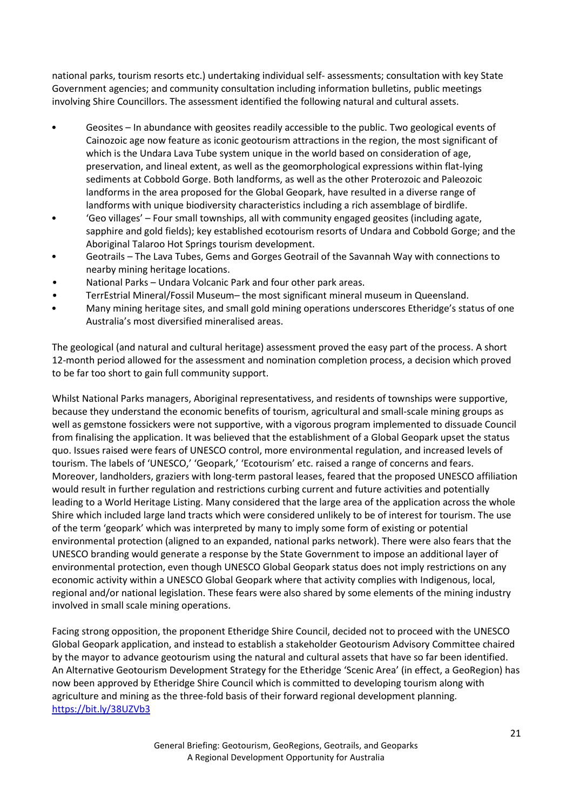national parks, tourism resorts etc.) undertaking individual self- assessments; consultation with key State Government agencies; and community consultation including information bulletins, public meetings involving Shire Councillors. The assessment identified the following natural and cultural assets.

- Geosites In abundance with geosites readily accessible to the public. Two geological events of Cainozoic age now feature as iconic geotourism attractions in the region, the most significant of which is the Undara Lava Tube system unique in the world based on consideration of age, preservation, and lineal extent, as well as the geomorphological expressions within flat-lying sediments at Cobbold Gorge. Both landforms, as well as the other Proterozoic and Paleozoic landforms in the area proposed for the Global Geopark, have resulted in a diverse range of landforms with unique biodiversity characteristics including a rich assemblage of birdlife.
- 'Geo villages' Four small townships, all with community engaged geosites (including agate, sapphire and gold fields); key established ecotourism resorts of Undara and Cobbold Gorge; and the Aboriginal Talaroo Hot Springs tourism development.
- Geotrails The Lava Tubes, Gems and Gorges Geotrail of the Savannah Way with connections to nearby mining heritage locations.
- National Parks Undara Volcanic Park and four other park areas.
- TerrEstrial Mineral/Fossil Museum– the most significant mineral museum in Queensland.
- Many mining heritage sites, and small gold mining operations underscores Etheridge's status of one Australia's most diversified mineralised areas.

The geological (and natural and cultural heritage) assessment proved the easy part of the process. A short 12-month period allowed for the assessment and nomination completion process, a decision which proved to be far too short to gain full community support.

Whilst National Parks managers, Aboriginal representativess, and residents of townships were supportive, because they understand the economic benefits of tourism, agricultural and small-scale mining groups as well as gemstone fossickers were not supportive, with a vigorous program implemented to dissuade Council from finalising the application. It was believed that the establishment of a Global Geopark upset the status quo. Issues raised were fears of UNESCO control, more environmental regulation, and increased levels of tourism. The labels of 'UNESCO,' 'Geopark,' 'Ecotourism' etc. raised a range of concerns and fears. Moreover, landholders, graziers with long-term pastoral leases, feared that the proposed UNESCO affiliation would result in further regulation and restrictions curbing current and future activities and potentially leading to a World Heritage Listing. Many considered that the large area of the application across the whole Shire which included large land tracts which were considered unlikely to be of interest for tourism. The use of the term 'geopark' which was interpreted by many to imply some form of existing or potential environmental protection (aligned to an expanded, national parks network). There were also fears that the UNESCO branding would generate a response by the State Government to impose an additional layer of environmental protection, even though UNESCO Global Geopark status does not imply restrictions on any economic activity within a UNESCO Global Geopark where that activity complies with Indigenous, local, regional and/or national legislation. These fears were also shared by some elements of the mining industry involved in small scale mining operations.

Facing strong opposition, the proponent Etheridge Shire Council, decided not to proceed with the UNESCO Global Geopark application, and instead to establish a stakeholder Geotourism Advisory Committee chaired by the mayor to advance geotourism using the natural and cultural assets that have so far been identified. An Alternative Geotourism Development Strategy for the Etheridge 'Scenic Area' (in effect, a GeoRegion) has now been approved by Etheridge Shire Council which is committed to developing tourism along with agriculture and mining as the three-fold basis of their forward regional development planning. <https://bit.ly/38UZVb3>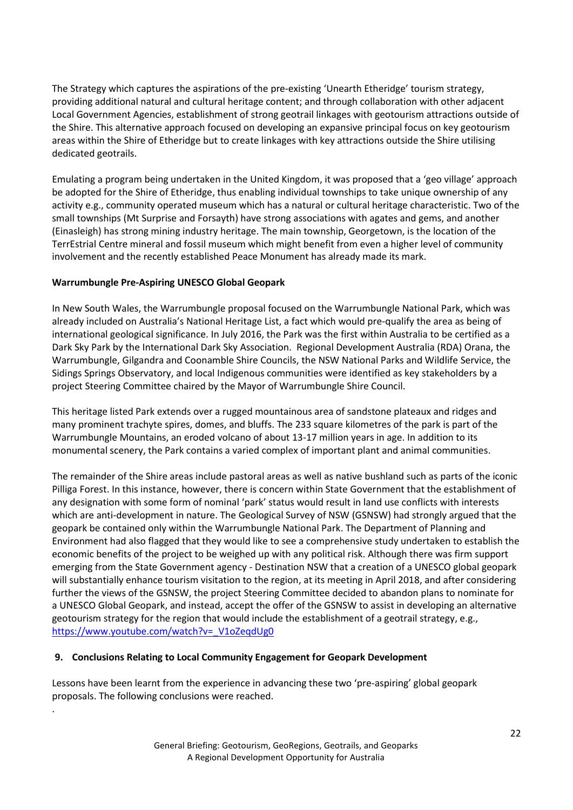The Strategy which captures the aspirations of the pre-existing 'Unearth Etheridge' tourism strategy, providing additional natural and cultural heritage content; and through collaboration with other adjacent Local Government Agencies, establishment of strong geotrail linkages with geotourism attractions outside of the Shire. This alternative approach focused on developing an expansive principal focus on key geotourism areas within the Shire of Etheridge but to create linkages with key attractions outside the Shire utilising dedicated geotrails.

Emulating a program being undertaken in the United Kingdom, it was proposed that a 'geo village' approach be adopted for the Shire of Etheridge, thus enabling individual townships to take unique ownership of any activity e.g., community operated museum which has a natural or cultural heritage characteristic. Two of the small townships (Mt Surprise and Forsayth) have strong associations with agates and gems, and another (Einasleigh) has strong mining industry heritage. The main township, Georgetown, is the location of the TerrEstrial Centre mineral and fossil museum which might benefit from even a higher level of community involvement and the recently established Peace Monument has already made its mark.

### **Warrumbungle Pre-Aspiring UNESCO Global Geopark**

In New South Wales, the Warrumbungle proposal focused on the Warrumbungle National Park, which was already included on Australia's National Heritage List, a fact which would pre-qualify the area as being of international geological significance. In July 2016, the Park was the first within Australia to be certified as a Dark Sky Park by the International Dark Sky Association. Regional Development Australia (RDA) Orana, the Warrumbungle, Gilgandra and Coonamble Shire Councils, the NSW National Parks and Wildlife Service, the Sidings Springs Observatory, and local Indigenous communities were identified as key stakeholders by a project Steering Committee chaired by the Mayor of Warrumbungle Shire Council.

This heritage listed Park extends over a rugged mountainous area of sandstone plateaux and ridges and many prominent trachyte spires, domes, and bluffs. The 233 square kilometres of the park is part of the Warrumbungle Mountains, an eroded volcano of about 13-17 million years in age. In addition to its monumental scenery, the Park contains a varied complex of important plant and animal communities.

The remainder of the Shire areas include pastoral areas as well as native bushland such as parts of the iconic Pilliga Forest. In this instance, however, there is concern within State Government that the establishment of any designation with some form of nominal 'park' status would result in land use conflicts with interests which are anti-development in nature. The Geological Survey of NSW (GSNSW) had strongly argued that the geopark be contained only within the Warrumbungle National Park. The Department of Planning and Environment had also flagged that they would like to see a comprehensive study undertaken to establish the economic benefits of the project to be weighed up with any political risk. Although there was firm support emerging from the State Government agency - Destination NSW that a creation of a UNESCO global geopark will substantially enhance tourism visitation to the region, at its meeting in April 2018, and after considering further the views of the GSNSW, the project Steering Committee decided to abandon plans to nominate for a UNESCO Global Geopark, and instead, accept the offer of the GSNSW to assist in developing an alternative geotourism strategy for the region that would include the establishment of a geotrail strategy, e.g., [https://www.youtube.com/watch?v=\\_V1oZeqdUg0](https://www.youtube.com/watch?v=_V1oZeqdUg0)

#### **9. Conclusions Relating to Local Community Engagement for Geopark Development**

.

Lessons have been learnt from the experience in advancing these two 'pre-aspiring' global geopark proposals. The following conclusions were reached.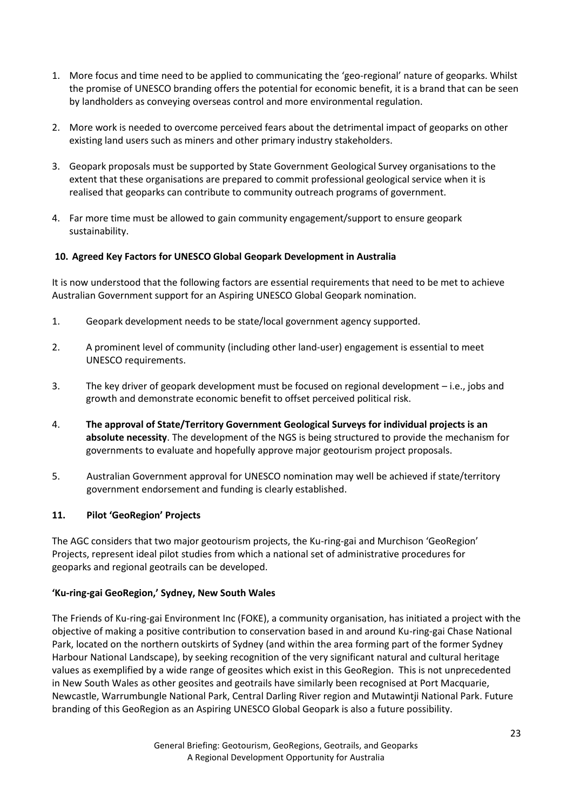- 1. More focus and time need to be applied to communicating the 'geo-regional' nature of geoparks. Whilst the promise of UNESCO branding offers the potential for economic benefit, it is a brand that can be seen by landholders as conveying overseas control and more environmental regulation.
- 2. More work is needed to overcome perceived fears about the detrimental impact of geoparks on other existing land users such as miners and other primary industry stakeholders.
- 3. Geopark proposals must be supported by State Government Geological Survey organisations to the extent that these organisations are prepared to commit professional geological service when it is realised that geoparks can contribute to community outreach programs of government.
- 4. Far more time must be allowed to gain community engagement/support to ensure geopark sustainability.

### **10. Agreed Key Factors for UNESCO Global Geopark Development in Australia**

It is now understood that the following factors are essential requirements that need to be met to achieve Australian Government support for an Aspiring UNESCO Global Geopark nomination.

- 1. Geopark development needs to be state/local government agency supported.
- 2. A prominent level of community (including other land-user) engagement is essential to meet UNESCO requirements.
- 3. The key driver of geopark development must be focused on regional development i.e., jobs and growth and demonstrate economic benefit to offset perceived political risk.
- 4. **The approval of State/Territory Government Geological Surveys for individual projects is an absolute necessity**. The development of the NGS is being structured to provide the mechanism for governments to evaluate and hopefully approve major geotourism project proposals.
- 5. Australian Government approval for UNESCO nomination may well be achieved if state/territory government endorsement and funding is clearly established.

### **11. Pilot 'GeoRegion' Projects**

The AGC considers that two major geotourism projects, the Ku-ring-gai and Murchison 'GeoRegion' Projects, represent ideal pilot studies from which a national set of administrative procedures for geoparks and regional geotrails can be developed.

#### **'Ku-ring-gai GeoRegion,' Sydney, New South Wales**

The Friends of Ku-ring-gai Environment Inc (FOKE), a community organisation, has initiated a project with the objective of making a positive contribution to conservation based in and around Ku-ring-gai Chase National Park, located on the northern outskirts of Sydney (and within the area forming part of the former Sydney Harbour National Landscape), by seeking recognition of the very significant natural and cultural heritage values as exemplified by a wide range of geosites which exist in this GeoRegion. This is not unprecedented in New South Wales as other geosites and geotrails have similarly been recognised at Port Macquarie, Newcastle, Warrumbungle National Park, Central Darling River region and Mutawintji National Park. Future branding of this GeoRegion as an Aspiring UNESCO Global Geopark is also a future possibility.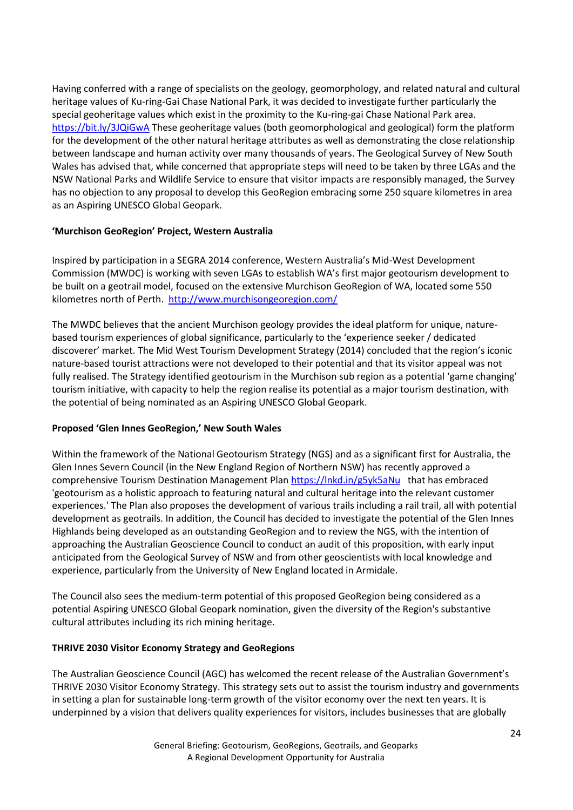Having conferred with a range of specialists on the geology, geomorphology, and related natural and cultural heritage values of Ku-ring-Gai Chase National Park, it was decided to investigate further particularly the special geoheritage values which exist in the proximity to the Ku-ring-gai Chase National Park area. <https://bit.ly/3JQiGwA> These geoheritage values (both geomorphological and geological) form the platform for the development of the other natural heritage attributes as well as demonstrating the close relationship between landscape and human activity over many thousands of years. The Geological Survey of New South Wales has advised that, while concerned that appropriate steps will need to be taken by three LGAs and the NSW National Parks and Wildlife Service to ensure that visitor impacts are responsibly managed, the Survey has no objection to any proposal to develop this GeoRegion embracing some 250 square kilometres in area as an Aspiring UNESCO Global Geopark.

#### **'Murchison GeoRegion' Project, Western Australia**

Inspired by participation in a SEGRA 2014 conference, Western Australia's Mid-West Development Commission (MWDC) is working with seven LGAs to establish WA's first major geotourism development to be built on a geotrail model, focused on the extensive Murchison GeoRegion of WA, located some 550 kilometres north of Perth. <http://www.murchisongeoregion.com/>

The MWDC believes that the ancient Murchison geology provides the ideal platform for unique, naturebased tourism experiences of global significance, particularly to the 'experience seeker / dedicated discoverer' market. The Mid West Tourism Development Strategy (2014) concluded that the region's iconic nature-based tourist attractions were not developed to their potential and that its visitor appeal was not fully realised. The Strategy identified geotourism in the Murchison sub region as a potential 'game changing' tourism initiative, with capacity to help the region realise its potential as a major tourism destination, with the potential of being nominated as an Aspiring UNESCO Global Geopark.

### **Proposed 'Glen Innes GeoRegion,' New South Wales**

Within the framework of the National Geotourism Strategy (NGS) and as a significant first for Australia, the Glen Innes Severn Council (in the New England Region of Northern NSW) has recently approved a comprehensive Tourism Destination Management Plan<https://lnkd.in/g5yk5aNu>that has embraced 'geotourism as a holistic approach to featuring natural and cultural heritage into the relevant customer experiences.' The Plan also proposes the development of various trails including a rail trail, all with potential development as geotrails. In addition, the Council has decided to investigate the potential of the Glen Innes Highlands being developed as an outstanding GeoRegion and to review the NGS, with the intention of approaching the Australian Geoscience Council to conduct an audit of this proposition, with early input anticipated from the Geological Survey of NSW and from other geoscientists with local knowledge and experience, particularly from the University of New England located in Armidale.

The Council also sees the medium-term potential of this proposed GeoRegion being considered as a potential Aspiring UNESCO Global Geopark nomination, given the diversity of the Region's substantive cultural attributes including its rich mining heritage.

#### **THRIVE 2030 Visitor Economy Strategy and GeoRegions**

The Australian Geoscience Council (AGC) has welcomed the recent release of the Australian Government's THRIVE 2030 Visitor Economy Strategy. This strategy sets out to assist the tourism industry and governments in setting a plan for sustainable long-term growth of the visitor economy over the next ten years. It is underpinned by a vision that delivers quality experiences for visitors, includes businesses that are globally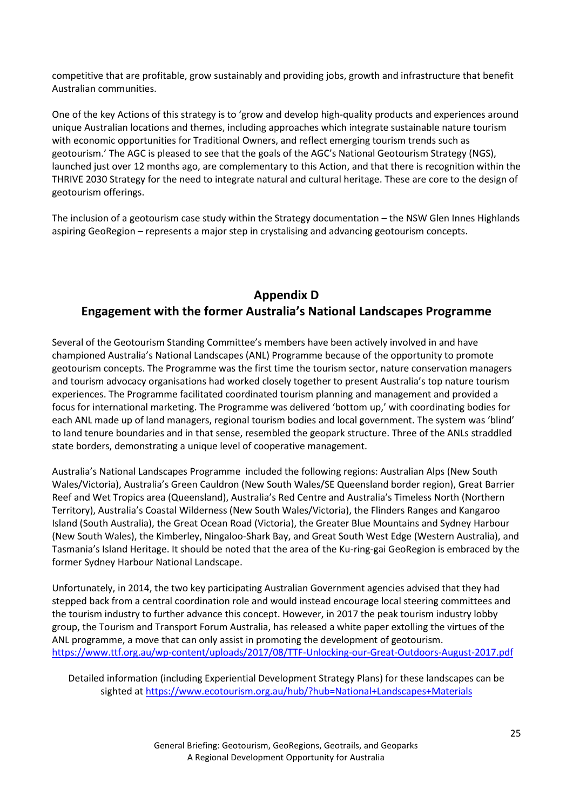competitive that are profitable, grow sustainably and providing jobs, growth and infrastructure that benefit Australian communities.

One of the key Actions of this strategy is to 'grow and develop high-quality products and experiences around unique Australian locations and themes, including approaches which integrate sustainable nature tourism with economic opportunities for Traditional Owners, and reflect emerging tourism trends such as geotourism.' The AGC is pleased to see that the goals of the AGC's National Geotourism Strategy (NGS), launched just over 12 months ago, are complementary to this Action, and that there is recognition within the THRIVE 2030 Strategy for the need to integrate natural and cultural heritage. These are core to the design of geotourism offerings.

The inclusion of a geotourism case study within the Strategy documentation – the NSW Glen Innes Highlands aspiring GeoRegion – represents a major step in crystalising and advancing geotourism concepts.

# **Appendix D Engagement with the former Australia's National Landscapes Programme**

Several of the Geotourism Standing Committee's members have been actively involved in and have championed Australia's National Landscapes (ANL) Programme because of the opportunity to promote geotourism concepts. The Programme was the first time the tourism sector, nature conservation managers and tourism advocacy organisations had worked closely together to present Australia's top nature tourism experiences. The Programme facilitated coordinated tourism planning and management and provided a focus for international marketing. The Programme was delivered 'bottom up,' with coordinating bodies for each ANL made up of land managers, regional tourism bodies and local government. The system was 'blind' to land tenure boundaries and in that sense, resembled the geopark structure. Three of the ANLs straddled state borders, demonstrating a unique level of cooperative management.

Australia's National Landscapes Programme included the following regions: Australian Alps (New South Wales/Victoria), Australia's Green Cauldron (New South Wales/SE Queensland border region), Great Barrier Reef and Wet Tropics area (Queensland), Australia's Red Centre and Australia's Timeless North (Northern Territory), Australia's Coastal Wilderness (New South Wales/Victoria), the Flinders Ranges and Kangaroo Island (South Australia), the Great Ocean Road (Victoria), the Greater Blue Mountains and Sydney Harbour (New South Wales), the Kimberley, Ningaloo-Shark Bay, and Great South West Edge (Western Australia), and Tasmania's Island Heritage. It should be noted that the area of the Ku-ring-gai GeoRegion is embraced by the former Sydney Harbour National Landscape.

Unfortunately, in 2014, the two key participating Australian Government agencies advised that they had stepped back from a central coordination role and would instead encourage local steering committees and the tourism industry to further advance this concept. However, in 2017 the peak tourism industry lobby group, the Tourism and Transport Forum Australia, has released a white paper extolling the virtues of the ANL programme, a move that can only assist in promoting the development of geotourism. <https://www.ttf.org.au/wp-content/uploads/2017/08/TTF-Unlocking-our-Great-Outdoors-August-2017.pdf>

Detailed information (including Experiential Development Strategy Plans) for these landscapes can be sighted at<https://www.ecotourism.org.au/hub/?hub=National+Landscapes+Materials>